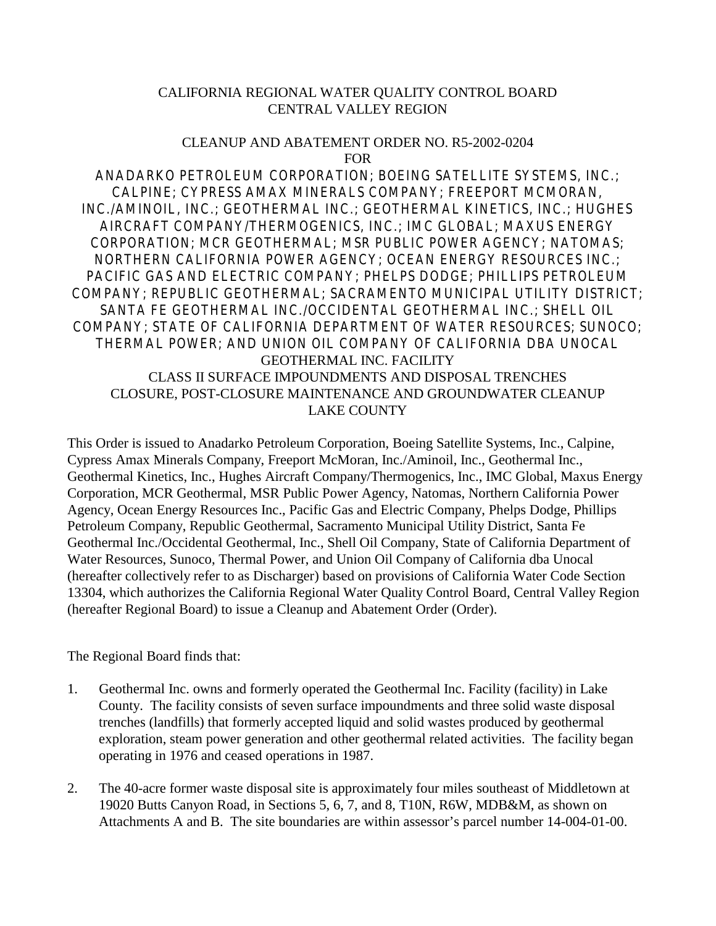## CALIFORNIA REGIONAL WATER QUALITY CONTROL BOARD CENTRAL VALLEY REGION

#### CLEANUP AND ABATEMENT ORDER NO. R5-2002-0204 FOR

ANADARKO PETROLEUM CORPORATION; BOEING SATELLITE SYSTEMS, INC.; CALPINE; CYPRESS AMAX MINERALS COMPANY; FREEPORT MCMORAN, INC./AMINOIL, INC.; GEOTHERMAL INC.; GEOTHERMAL KINETICS, INC.; HUGHES AIRCRAFT COMPANY/THERMOGENICS, INC.; IMC GLOBAL; MAXUS ENERGY CORPORATION; MCR GEOTHERMAL; MSR PUBLIC POWER AGENCY; NATOMAS; NORTHERN CALIFORNIA POWER AGENCY; OCEAN ENERGY RESOURCES INC.; PACIFIC GAS AND ELECTRIC COMPANY; PHELPS DODGE; PHILLIPS PETROLEUM COMPANY; REPUBLIC GEOTHERMAL; SACRAMENTO MUNICIPAL UTILITY DISTRICT; SANTA FE GEOTHERMAL INC./OCCIDENTAL GEOTHERMAL INC.; SHELL OIL COMPANY; STATE OF CALIFORNIA DEPARTMENT OF WATER RESOURCES; SUNOCO; THERMAL POWER; AND UNION OIL COMPANY OF CALIFORNIA DBA UNOCAL GEOTHERMAL INC. FACILITY CLASS II SURFACE IMPOUNDMENTS AND DISPOSAL TRENCHES CLOSURE, POST-CLOSURE MAINTENANCE AND GROUNDWATER CLEANUP LAKE COUNTY

This Order is issued to Anadarko Petroleum Corporation, Boeing Satellite Systems, Inc., Calpine, Cypress Amax Minerals Company, Freeport McMoran, Inc./Aminoil, Inc., Geothermal Inc., Geothermal Kinetics, Inc., Hughes Aircraft Company/Thermogenics, Inc., IMC Global, Maxus Energy Corporation, MCR Geothermal, MSR Public Power Agency, Natomas, Northern California Power Agency, Ocean Energy Resources Inc., Pacific Gas and Electric Company, Phelps Dodge, Phillips Petroleum Company, Republic Geothermal, Sacramento Municipal Utility District, Santa Fe Geothermal Inc./Occidental Geothermal, Inc., Shell Oil Company, State of California Department of Water Resources, Sunoco, Thermal Power, and Union Oil Company of California dba Unocal (hereafter collectively refer to as Discharger) based on provisions of California Water Code Section 13304, which authorizes the California Regional Water Quality Control Board, Central Valley Region (hereafter Regional Board) to issue a Cleanup and Abatement Order (Order).

### The Regional Board finds that:

- 1. Geothermal Inc. owns and formerly operated the Geothermal Inc. Facility (facility) in Lake County. The facility consists of seven surface impoundments and three solid waste disposal trenches (landfills) that formerly accepted liquid and solid wastes produced by geothermal exploration, steam power generation and other geothermal related activities. The facility began operating in 1976 and ceased operations in 1987.
- 2. The 40-acre former waste disposal site is approximately four miles southeast of Middletown at 19020 Butts Canyon Road, in Sections 5, 6, 7, and 8, T10N, R6W, MDB&M, as shown on Attachments A and B. The site boundaries are within assessor's parcel number 14-004-01-00.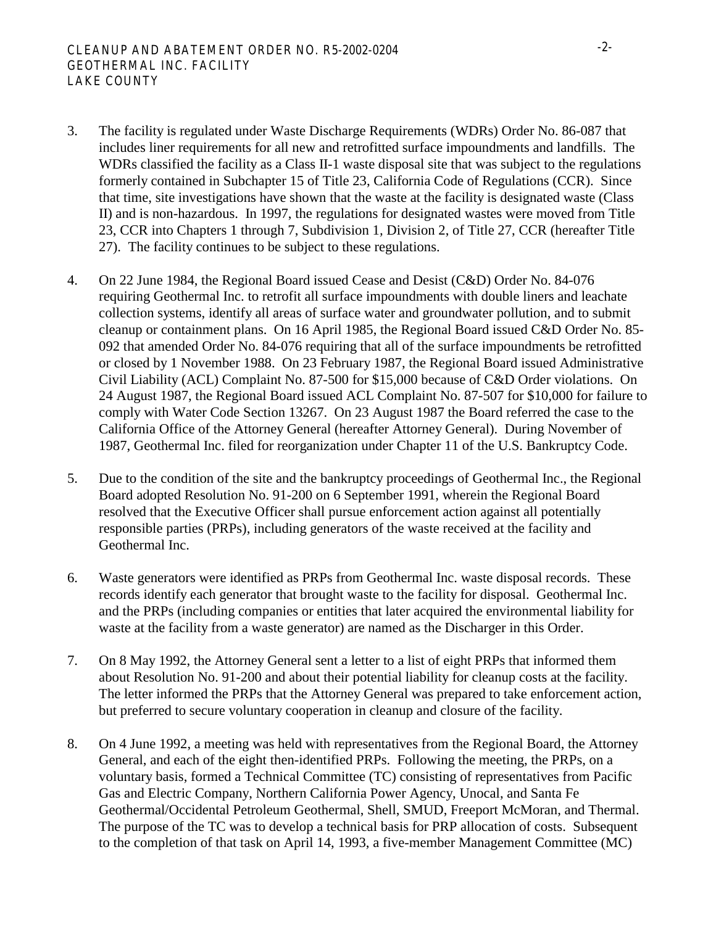- 3. The facility is regulated under Waste Discharge Requirements (WDRs) Order No. 86-087 that includes liner requirements for all new and retrofitted surface impoundments and landfills. The WDRs classified the facility as a Class II-1 waste disposal site that was subject to the regulations formerly contained in Subchapter 15 of Title 23, California Code of Regulations (CCR). Since that time, site investigations have shown that the waste at the facility is designated waste (Class II) and is non-hazardous. In 1997, the regulations for designated wastes were moved from Title 23, CCR into Chapters 1 through 7, Subdivision 1*,* Division 2, of Title 27, CCR (hereafter Title 27). The facility continues to be subject to these regulations.
- 4. On 22 June 1984, the Regional Board issued Cease and Desist (C&D) Order No. 84-076 requiring Geothermal Inc. to retrofit all surface impoundments with double liners and leachate collection systems, identify all areas of surface water and groundwater pollution, and to submit cleanup or containment plans. On 16 April 1985, the Regional Board issued C&D Order No. 85- 092 that amended Order No. 84-076 requiring that all of the surface impoundments be retrofitted or closed by 1 November 1988. On 23 February 1987, the Regional Board issued Administrative Civil Liability (ACL) Complaint No. 87-500 for \$15,000 because of C&D Order violations. On 24 August 1987, the Regional Board issued ACL Complaint No. 87-507 for \$10,000 for failure to comply with Water Code Section 13267. On 23 August 1987 the Board referred the case to the California Office of the Attorney General (hereafter Attorney General). During November of 1987, Geothermal Inc. filed for reorganization under Chapter 11 of the U.S. Bankruptcy Code.
- 5. Due to the condition of the site and the bankruptcy proceedings of Geothermal Inc., the Regional Board adopted Resolution No. 91-200 on 6 September 1991, wherein the Regional Board resolved that the Executive Officer shall pursue enforcement action against all potentially responsible parties (PRPs), including generators of the waste received at the facility and Geothermal Inc.
- 6. Waste generators were identified as PRPs from Geothermal Inc. waste disposal records. These records identify each generator that brought waste to the facility for disposal. Geothermal Inc. and the PRPs (including companies or entities that later acquired the environmental liability for waste at the facility from a waste generator) are named as the Discharger in this Order.
- 7. On 8 May 1992, the Attorney General sent a letter to a list of eight PRPs that informed them about Resolution No. 91-200 and about their potential liability for cleanup costs at the facility. The letter informed the PRPs that the Attorney General was prepared to take enforcement action, but preferred to secure voluntary cooperation in cleanup and closure of the facility.
- 8. On 4 June 1992, a meeting was held with representatives from the Regional Board, the Attorney General, and each of the eight then-identified PRPs. Following the meeting, the PRPs, on a voluntary basis, formed a Technical Committee (TC) consisting of representatives from Pacific Gas and Electric Company, Northern California Power Agency, Unocal, and Santa Fe Geothermal/Occidental Petroleum Geothermal, Shell, SMUD, Freeport McMoran, and Thermal. The purpose of the TC was to develop a technical basis for PRP allocation of costs. Subsequent to the completion of that task on April 14, 1993, a five-member Management Committee (MC)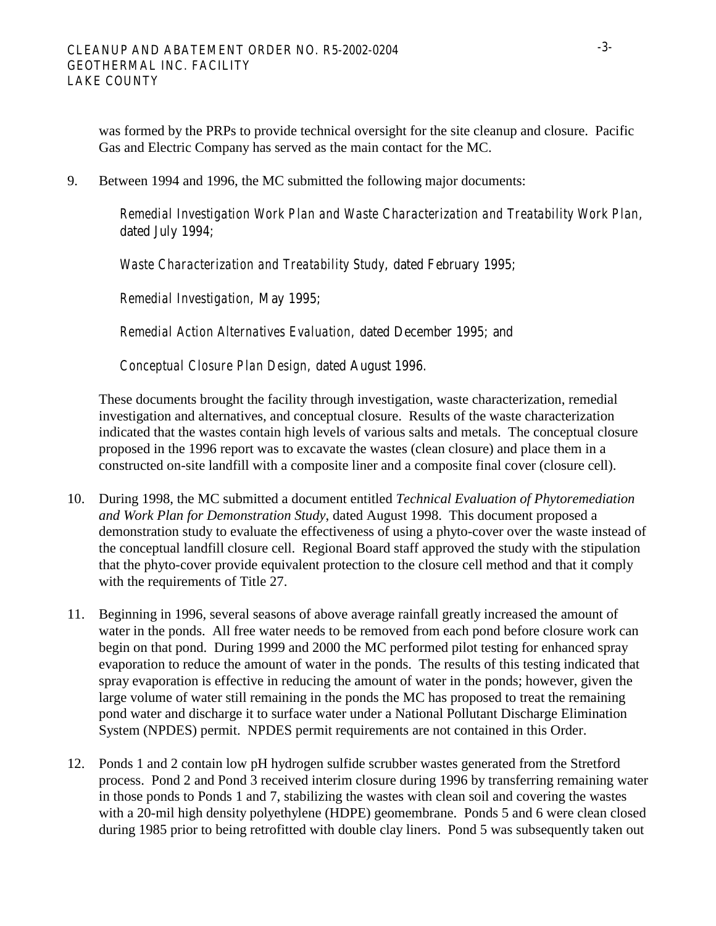was formed by the PRPs to provide technical oversight for the site cleanup and closure. Pacific Gas and Electric Company has served as the main contact for the MC.

9. Between 1994 and 1996, the MC submitted the following major documents:

*Remedial Investigation Work Plan and Waste Characterization and Treatability Work Plan*, dated July 1994;

*Waste Characterization and Treatability Study*, dated February 1995;

*Remedial Investigation*, May 1995;

*Remedial Action Alternatives Evaluation*, dated December 1995; and

*Conceptual Closure Plan Design*, dated August 1996.

 These documents brought the facility through investigation, waste characterization, remedial investigation and alternatives, and conceptual closure. Results of the waste characterization indicated that the wastes contain high levels of various salts and metals. The conceptual closure proposed in the 1996 report was to excavate the wastes (clean closure) and place them in a constructed on-site landfill with a composite liner and a composite final cover (closure cell).

- 10. During 1998, the MC submitted a document entitled *Technical Evaluation of Phytoremediation and Work Plan for Demonstration Study*, dated August 1998. This document proposed a demonstration study to evaluate the effectiveness of using a phyto-cover over the waste instead of the conceptual landfill closure cell. Regional Board staff approved the study with the stipulation that the phyto-cover provide equivalent protection to the closure cell method and that it comply with the requirements of Title 27.
- 11. Beginning in 1996, several seasons of above average rainfall greatly increased the amount of water in the ponds. All free water needs to be removed from each pond before closure work can begin on that pond. During 1999 and 2000 the MC performed pilot testing for enhanced spray evaporation to reduce the amount of water in the ponds. The results of this testing indicated that spray evaporation is effective in reducing the amount of water in the ponds; however, given the large volume of water still remaining in the ponds the MC has proposed to treat the remaining pond water and discharge it to surface water under a National Pollutant Discharge Elimination System (NPDES) permit. NPDES permit requirements are not contained in this Order.
- 12. Ponds 1 and 2 contain low pH hydrogen sulfide scrubber wastes generated from the Stretford process. Pond 2 and Pond 3 received interim closure during 1996 by transferring remaining water in those ponds to Ponds 1 and 7, stabilizing the wastes with clean soil and covering the wastes with a 20-mil high density polyethylene (HDPE) geomembrane. Ponds 5 and 6 were clean closed during 1985 prior to being retrofitted with double clay liners. Pond 5 was subsequently taken out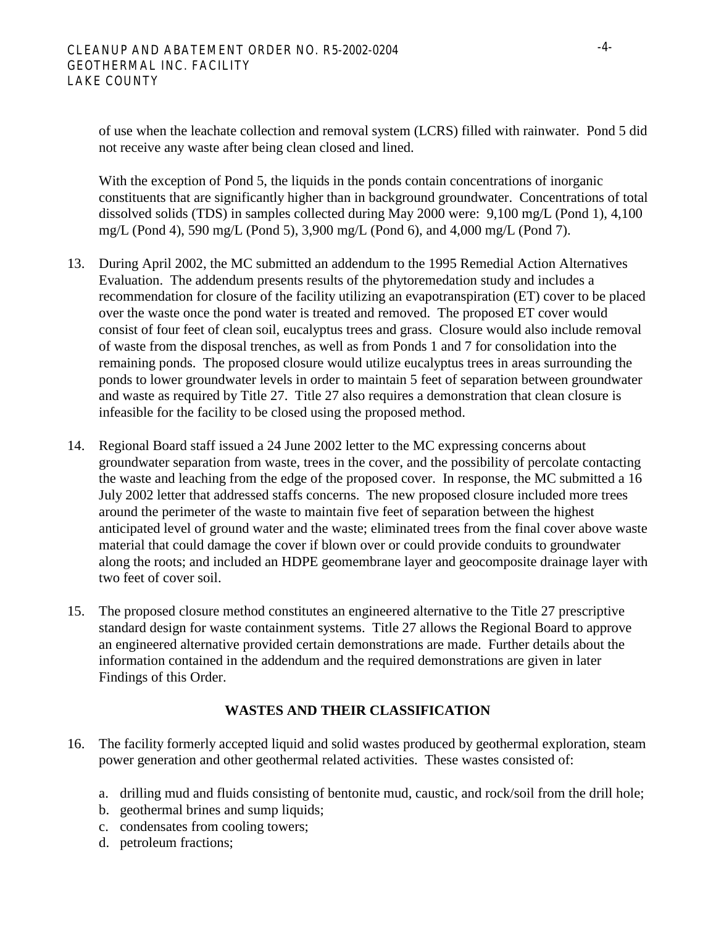of use when the leachate collection and removal system (LCRS) filled with rainwater. Pond 5 did not receive any waste after being clean closed and lined.

With the exception of Pond 5, the liquids in the ponds contain concentrations of inorganic constituents that are significantly higher than in background groundwater. Concentrations of total dissolved solids (TDS) in samples collected during May 2000 were: 9,100 mg/L (Pond 1), 4,100 mg/L (Pond 4), 590 mg/L (Pond 5), 3,900 mg/L (Pond 6), and 4,000 mg/L (Pond 7).

- 13. During April 2002, the MC submitted an addendum to the 1995 Remedial Action Alternatives Evaluation. The addendum presents results of the phytoremedation study and includes a recommendation for closure of the facility utilizing an evapotranspiration (ET) cover to be placed over the waste once the pond water is treated and removed. The proposed ET cover would consist of four feet of clean soil, eucalyptus trees and grass. Closure would also include removal of waste from the disposal trenches, as well as from Ponds 1 and 7 for consolidation into the remaining ponds. The proposed closure would utilize eucalyptus trees in areas surrounding the ponds to lower groundwater levels in order to maintain 5 feet of separation between groundwater and waste as required by Title 27. Title 27 also requires a demonstration that clean closure is infeasible for the facility to be closed using the proposed method.
- 14. Regional Board staff issued a 24 June 2002 letter to the MC expressing concerns about groundwater separation from waste, trees in the cover, and the possibility of percolate contacting the waste and leaching from the edge of the proposed cover. In response, the MC submitted a 16 July 2002 letter that addressed staffs concerns. The new proposed closure included more trees around the perimeter of the waste to maintain five feet of separation between the highest anticipated level of ground water and the waste; eliminated trees from the final cover above waste material that could damage the cover if blown over or could provide conduits to groundwater along the roots; and included an HDPE geomembrane layer and geocomposite drainage layer with two feet of cover soil.
- 15. The proposed closure method constitutes an engineered alternative to the Title 27 prescriptive standard design for waste containment systems. Title 27 allows the Regional Board to approve an engineered alternative provided certain demonstrations are made. Further details about the information contained in the addendum and the required demonstrations are given in later Findings of this Order.

# **WASTES AND THEIR CLASSIFICATION**

- 16. The facility formerly accepted liquid and solid wastes produced by geothermal exploration, steam power generation and other geothermal related activities. These wastes consisted of:
	- a. drilling mud and fluids consisting of bentonite mud, caustic, and rock/soil from the drill hole;
	- b. geothermal brines and sump liquids;
	- c. condensates from cooling towers;
	- d. petroleum fractions;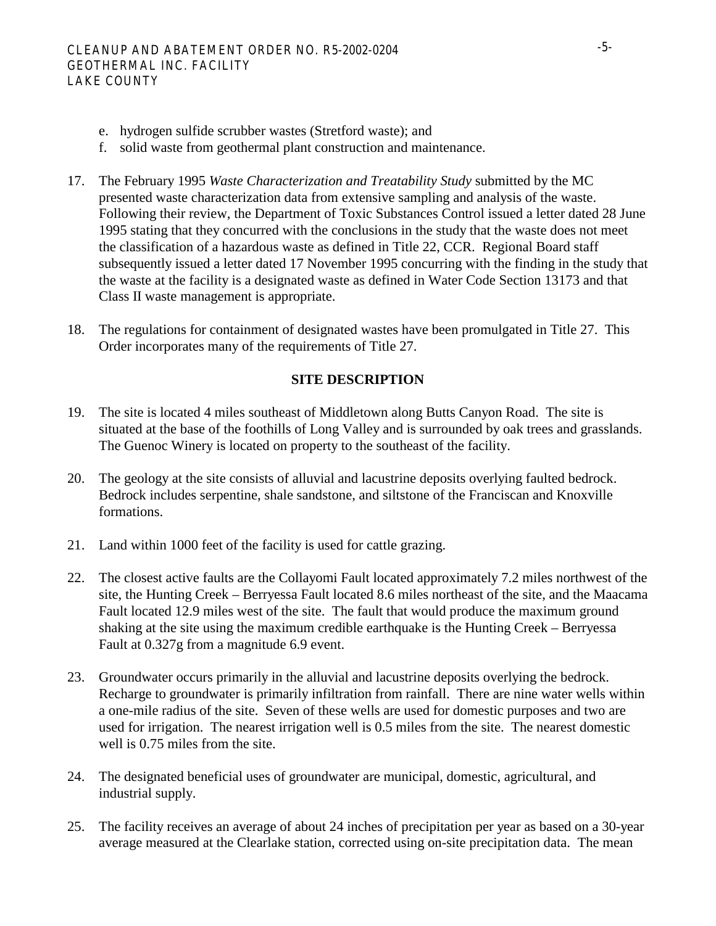- e. hydrogen sulfide scrubber wastes (Stretford waste); and
- f. solid waste from geothermal plant construction and maintenance.
- 17. The February 1995 *Waste Characterization and Treatability Study* submitted by the MC presented waste characterization data from extensive sampling and analysis of the waste. Following their review, the Department of Toxic Substances Control issued a letter dated 28 June 1995 stating that they concurred with the conclusions in the study that the waste does not meet the classification of a hazardous waste as defined in Title 22, CCR. Regional Board staff subsequently issued a letter dated 17 November 1995 concurring with the finding in the study that the waste at the facility is a designated waste as defined in Water Code Section 13173 and that Class II waste management is appropriate.
- 18. The regulations for containment of designated wastes have been promulgated in Title 27. This Order incorporates many of the requirements of Title 27.

# **SITE DESCRIPTION**

- 19. The site is located 4 miles southeast of Middletown along Butts Canyon Road. The site is situated at the base of the foothills of Long Valley and is surrounded by oak trees and grasslands. The Guenoc Winery is located on property to the southeast of the facility.
- 20. The geology at the site consists of alluvial and lacustrine deposits overlying faulted bedrock. Bedrock includes serpentine, shale sandstone, and siltstone of the Franciscan and Knoxville formations.
- 21. Land within 1000 feet of the facility is used for cattle grazing.
- 22. The closest active faults are the Collayomi Fault located approximately 7.2 miles northwest of the site, the Hunting Creek – Berryessa Fault located 8.6 miles northeast of the site, and the Maacama Fault located 12.9 miles west of the site. The fault that would produce the maximum ground shaking at the site using the maximum credible earthquake is the Hunting Creek – Berryessa Fault at 0.327g from a magnitude 6.9 event.
- 23. Groundwater occurs primarily in the alluvial and lacustrine deposits overlying the bedrock. Recharge to groundwater is primarily infiltration from rainfall. There are nine water wells within a one-mile radius of the site. Seven of these wells are used for domestic purposes and two are used for irrigation. The nearest irrigation well is 0.5 miles from the site. The nearest domestic well is 0.75 miles from the site.
- 24. The designated beneficial uses of groundwater are municipal, domestic, agricultural, and industrial supply.
- 25. The facility receives an average of about 24 inches of precipitation per year as based on a 30-year average measured at the Clearlake station, corrected using on-site precipitation data. The mean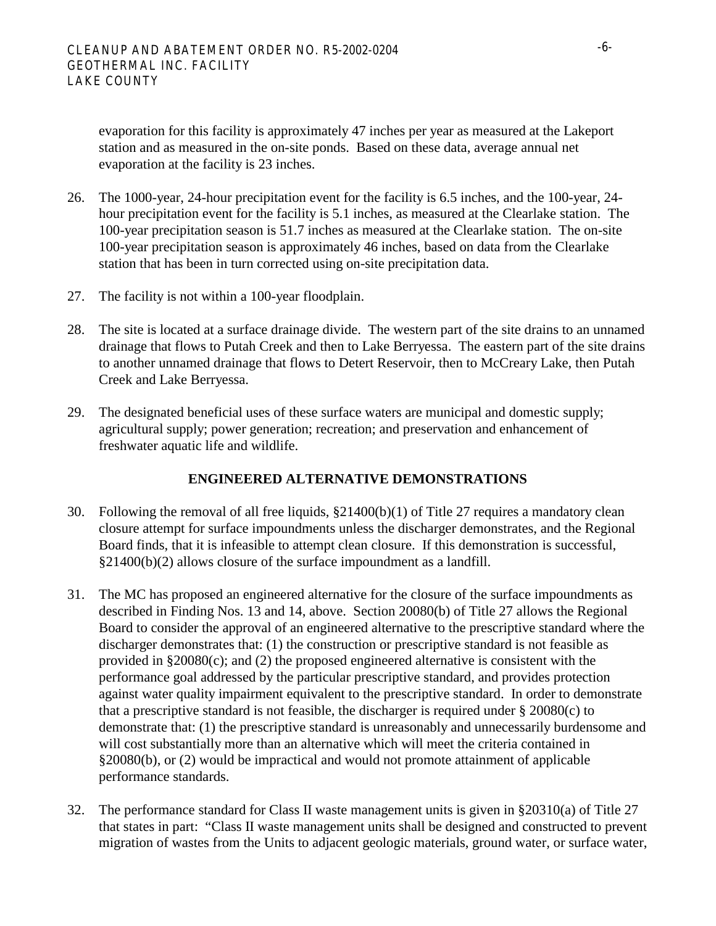evaporation for this facility is approximately 47 inches per year as measured at the Lakeport station and as measured in the on-site ponds. Based on these data, average annual net evaporation at the facility is 23 inches.

- 26. The 1000-year, 24-hour precipitation event for the facility is 6.5 inches, and the 100-year, 24 hour precipitation event for the facility is 5.1 inches, as measured at the Clearlake station. The 100-year precipitation season is 51.7 inches as measured at the Clearlake station. The on-site 100-year precipitation season is approximately 46 inches, based on data from the Clearlake station that has been in turn corrected using on-site precipitation data.
- 27. The facility is not within a 100-year floodplain.
- 28. The site is located at a surface drainage divide. The western part of the site drains to an unnamed drainage that flows to Putah Creek and then to Lake Berryessa. The eastern part of the site drains to another unnamed drainage that flows to Detert Reservoir, then to McCreary Lake, then Putah Creek and Lake Berryessa.
- 29. The designated beneficial uses of these surface waters are municipal and domestic supply; agricultural supply; power generation; recreation; and preservation and enhancement of freshwater aquatic life and wildlife.

# **ENGINEERED ALTERNATIVE DEMONSTRATIONS**

- 30. Following the removal of all free liquids, §21400(b)(1) of Title 27 requires a mandatory clean closure attempt for surface impoundments unless the discharger demonstrates, and the Regional Board finds, that it is infeasible to attempt clean closure. If this demonstration is successful, §21400(b)(2) allows closure of the surface impoundment as a landfill.
- 31. The MC has proposed an engineered alternative for the closure of the surface impoundments as described in Finding Nos. 13 and 14, above. Section 20080(b) of Title 27 allows the Regional Board to consider the approval of an engineered alternative to the prescriptive standard where the discharger demonstrates that: (1) the construction or prescriptive standard is not feasible as provided in §20080(c); and (2) the proposed engineered alternative is consistent with the performance goal addressed by the particular prescriptive standard, and provides protection against water quality impairment equivalent to the prescriptive standard. In order to demonstrate that a prescriptive standard is not feasible, the discharger is required under  $\S 20080(c)$  to demonstrate that: (1) the prescriptive standard is unreasonably and unnecessarily burdensome and will cost substantially more than an alternative which will meet the criteria contained in §20080(b), or (2) would be impractical and would not promote attainment of applicable performance standards.
- 32. The performance standard for Class II waste management units is given in §20310(a) of Title 27 that states in part: "Class II waste management units shall be designed and constructed to prevent migration of wastes from the Units to adjacent geologic materials, ground water, or surface water,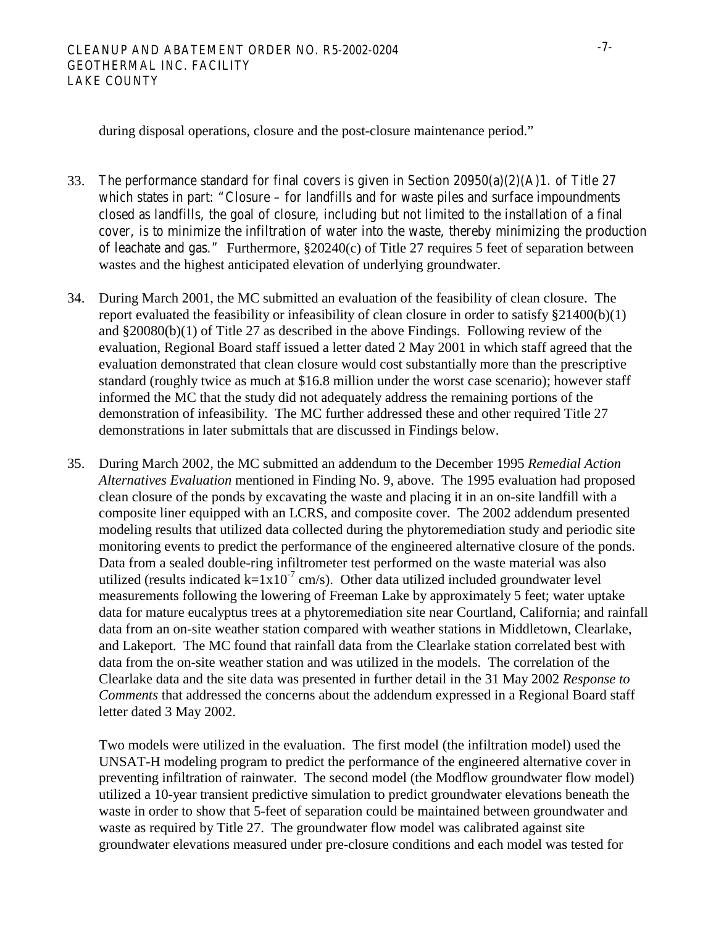during disposal operations, closure and the post-closure maintenance period."

- 33. The performance standard for final covers is given in Section 20950(a)(2)(A)1. of Title 27 which states in part: "Closure – for landfills and for waste piles and surface impoundments closed as landfills, the goal of closure, including but not limited to the installation of a final cover, is to minimize the infiltration of water into the waste, thereby minimizing the production of leachate and gas." Furthermore, §20240(c) of Title 27 requires 5 feet of separation between wastes and the highest anticipated elevation of underlying groundwater.
- 34. During March 2001, the MC submitted an evaluation of the feasibility of clean closure. The report evaluated the feasibility or infeasibility of clean closure in order to satisfy §21400(b)(1) and §20080(b)(1) of Title 27 as described in the above Findings. Following review of the evaluation, Regional Board staff issued a letter dated 2 May 2001 in which staff agreed that the evaluation demonstrated that clean closure would cost substantially more than the prescriptive standard (roughly twice as much at \$16.8 million under the worst case scenario); however staff informed the MC that the study did not adequately address the remaining portions of the demonstration of infeasibility. The MC further addressed these and other required Title 27 demonstrations in later submittals that are discussed in Findings below.
- 35. During March 2002, the MC submitted an addendum to the December 1995 *Remedial Action Alternatives Evaluation* mentioned in Finding No. 9, above. The 1995 evaluation had proposed clean closure of the ponds by excavating the waste and placing it in an on-site landfill with a composite liner equipped with an LCRS, and composite cover. The 2002 addendum presented modeling results that utilized data collected during the phytoremediation study and periodic site monitoring events to predict the performance of the engineered alternative closure of the ponds. Data from a sealed double-ring infiltrometer test performed on the waste material was also utilized (results indicated  $k=1x10^{-7}$  cm/s). Other data utilized included groundwater level measurements following the lowering of Freeman Lake by approximately 5 feet; water uptake data for mature eucalyptus trees at a phytoremediation site near Courtland, California; and rainfall data from an on-site weather station compared with weather stations in Middletown, Clearlake, and Lakeport. The MC found that rainfall data from the Clearlake station correlated best with data from the on-site weather station and was utilized in the models. The correlation of the Clearlake data and the site data was presented in further detail in the 31 May 2002 *Response to Comments* that addressed the concerns about the addendum expressed in a Regional Board staff letter dated 3 May 2002.

 Two models were utilized in the evaluation. The first model (the infiltration model) used the UNSAT-H modeling program to predict the performance of the engineered alternative cover in preventing infiltration of rainwater. The second model (the Modflow groundwater flow model) utilized a 10-year transient predictive simulation to predict groundwater elevations beneath the waste in order to show that 5-feet of separation could be maintained between groundwater and waste as required by Title 27. The groundwater flow model was calibrated against site groundwater elevations measured under pre-closure conditions and each model was tested for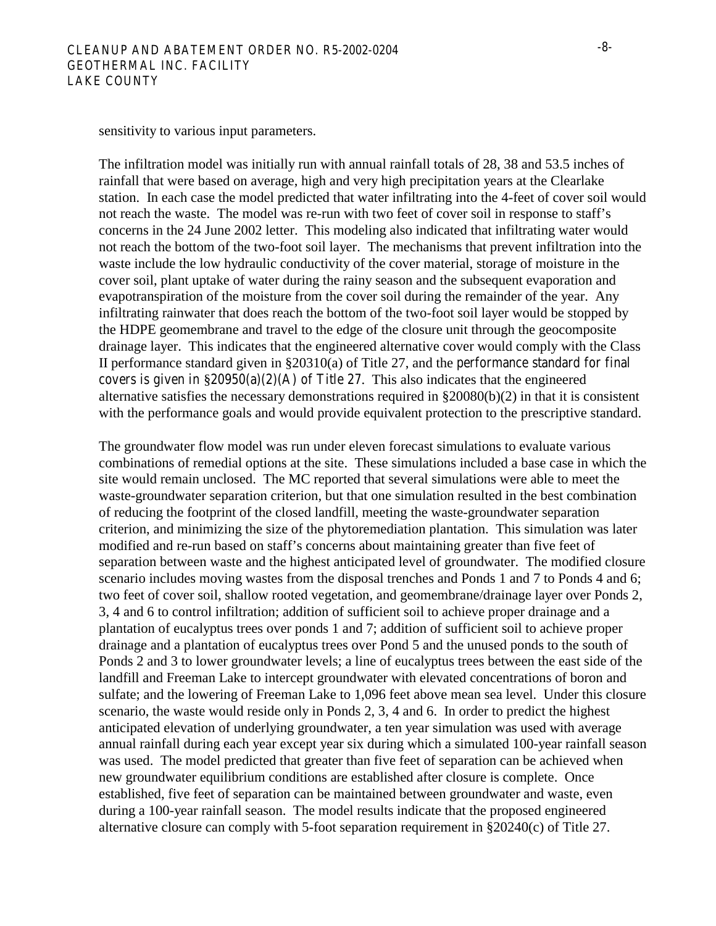sensitivity to various input parameters.

 The infiltration model was initially run with annual rainfall totals of 28, 38 and 53.5 inches of rainfall that were based on average, high and very high precipitation years at the Clearlake station. In each case the model predicted that water infiltrating into the 4-feet of cover soil would not reach the waste. The model was re-run with two feet of cover soil in response to staff's concerns in the 24 June 2002 letter. This modeling also indicated that infiltrating water would not reach the bottom of the two-foot soil layer. The mechanisms that prevent infiltration into the waste include the low hydraulic conductivity of the cover material, storage of moisture in the cover soil, plant uptake of water during the rainy season and the subsequent evaporation and evapotranspiration of the moisture from the cover soil during the remainder of the year. Any infiltrating rainwater that does reach the bottom of the two-foot soil layer would be stopped by the HDPE geomembrane and travel to the edge of the closure unit through the geocomposite drainage layer. This indicates that the engineered alternative cover would comply with the Class II performance standard given in §20310(a) of Title 27, and the performance standard for final covers is given in  $\S 20950(a)(2)(A)$  of Title 27. This also indicates that the engineered alternative satisfies the necessary demonstrations required in §20080(b)(2) in that it is consistent with the performance goals and would provide equivalent protection to the prescriptive standard.

 The groundwater flow model was run under eleven forecast simulations to evaluate various combinations of remedial options at the site. These simulations included a base case in which the site would remain unclosed. The MC reported that several simulations were able to meet the waste-groundwater separation criterion, but that one simulation resulted in the best combination of reducing the footprint of the closed landfill, meeting the waste-groundwater separation criterion, and minimizing the size of the phytoremediation plantation. This simulation was later modified and re-run based on staff's concerns about maintaining greater than five feet of separation between waste and the highest anticipated level of groundwater. The modified closure scenario includes moving wastes from the disposal trenches and Ponds 1 and 7 to Ponds 4 and 6; two feet of cover soil, shallow rooted vegetation, and geomembrane/drainage layer over Ponds 2, 3, 4 and 6 to control infiltration; addition of sufficient soil to achieve proper drainage and a plantation of eucalyptus trees over ponds 1 and 7; addition of sufficient soil to achieve proper drainage and a plantation of eucalyptus trees over Pond 5 and the unused ponds to the south of Ponds 2 and 3 to lower groundwater levels; a line of eucalyptus trees between the east side of the landfill and Freeman Lake to intercept groundwater with elevated concentrations of boron and sulfate; and the lowering of Freeman Lake to 1,096 feet above mean sea level. Under this closure scenario, the waste would reside only in Ponds 2, 3, 4 and 6. In order to predict the highest anticipated elevation of underlying groundwater, a ten year simulation was used with average annual rainfall during each year except year six during which a simulated 100-year rainfall season was used. The model predicted that greater than five feet of separation can be achieved when new groundwater equilibrium conditions are established after closure is complete. Once established, five feet of separation can be maintained between groundwater and waste, even during a 100-year rainfall season. The model results indicate that the proposed engineered alternative closure can comply with 5-foot separation requirement in §20240(c) of Title 27.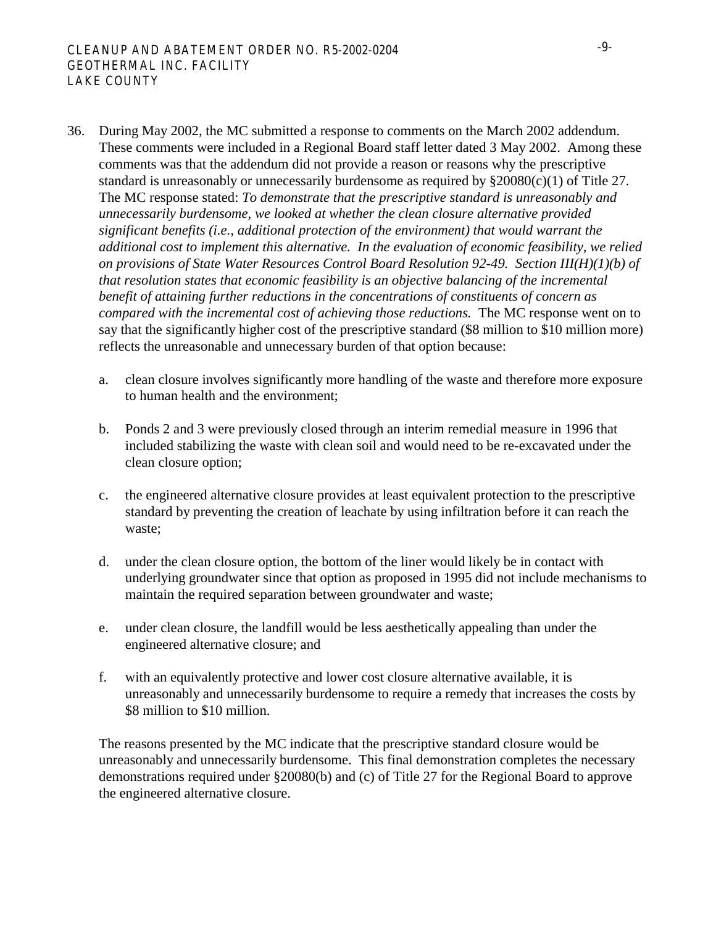- 36. During May 2002, the MC submitted a response to comments on the March 2002 addendum. These comments were included in a Regional Board staff letter dated 3 May 2002. Among these comments was that the addendum did not provide a reason or reasons why the prescriptive standard is unreasonably or unnecessarily burdensome as required by §20080(c)(1) of Title 27. The MC response stated: *To demonstrate that the prescriptive standard is unreasonably and unnecessarily burdensome, we looked at whether the clean closure alternative provided significant benefits (i.e., additional protection of the environment) that would warrant the additional cost to implement this alternative. In the evaluation of economic feasibility, we relied on provisions of State Water Resources Control Board Resolution 92-49. Section III(H)(1)(b) of that resolution states that economic feasibility is an objective balancing of the incremental benefit of attaining further reductions in the concentrations of constituents of concern as compared with the incremental cost of achieving those reductions.* The MC response went on to say that the significantly higher cost of the prescriptive standard (\$8 million to \$10 million more) reflects the unreasonable and unnecessary burden of that option because:
	- a. clean closure involves significantly more handling of the waste and therefore more exposure to human health and the environment;
	- b. Ponds 2 and 3 were previously closed through an interim remedial measure in 1996 that included stabilizing the waste with clean soil and would need to be re-excavated under the clean closure option;
	- c. the engineered alternative closure provides at least equivalent protection to the prescriptive standard by preventing the creation of leachate by using infiltration before it can reach the waste;
	- d. under the clean closure option, the bottom of the liner would likely be in contact with underlying groundwater since that option as proposed in 1995 did not include mechanisms to maintain the required separation between groundwater and waste;
	- e. under clean closure, the landfill would be less aesthetically appealing than under the engineered alternative closure; and
	- f. with an equivalently protective and lower cost closure alternative available, it is unreasonably and unnecessarily burdensome to require a remedy that increases the costs by \$8 million to \$10 million.

The reasons presented by the MC indicate that the prescriptive standard closure would be unreasonably and unnecessarily burdensome. This final demonstration completes the necessary demonstrations required under §20080(b) and (c) of Title 27 for the Regional Board to approve the engineered alternative closure.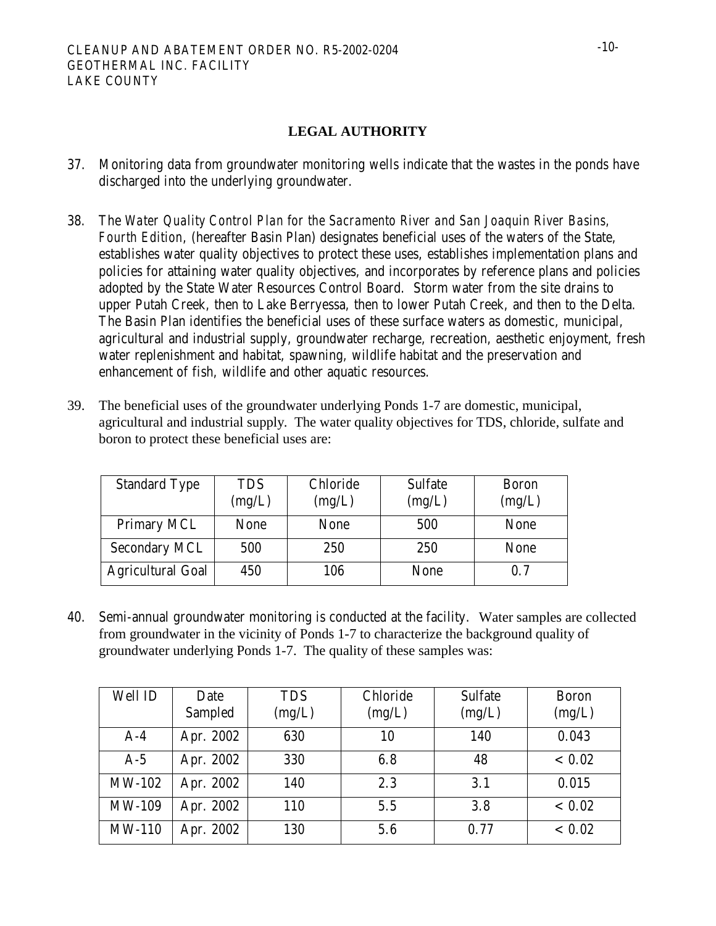## **LEGAL AUTHORITY**

- 37. Monitoring data from groundwater monitoring wells indicate that the wastes in the ponds have discharged into the underlying groundwater.
- 38. The *Water Quality Control Plan for the Sacramento River and San Joaquin River Basins, Fourth Edition*, (hereafter Basin Plan) designates beneficial uses of the waters of the State, establishes water quality objectives to protect these uses, establishes implementation plans and policies for attaining water quality objectives, and incorporates by reference plans and policies adopted by the State Water Resources Control Board. Storm water from the site drains to upper Putah Creek, then to Lake Berryessa, then to lower Putah Creek, and then to the Delta. The Basin Plan identifies the beneficial uses of these surface waters as domestic, municipal, agricultural and industrial supply, groundwater recharge, recreation, aesthetic enjoyment, fresh water replenishment and habitat, spawning, wildlife habitat and the preservation and enhancement of fish, wildlife and other aquatic resources.
- 39. The beneficial uses of the groundwater underlying Ponds 1-7 are domestic, municipal, agricultural and industrial supply. The water quality objectives for TDS, chloride, sulfate and boron to protect these beneficial uses are:

| <b>Standard Type</b>     | <b>TDS</b><br>(mg/L) | Chloride<br>(mg/L) | <b>Sulfate</b><br>(mg/L) | <b>Boron</b><br>(mg/L) |
|--------------------------|----------------------|--------------------|--------------------------|------------------------|
| <b>Primary MCL</b>       | <b>None</b>          | None               | 500                      | None                   |
| <b>Secondary MCL</b>     | 500                  | 250                | 250                      | <b>None</b>            |
| <b>Agricultural Goal</b> | 450                  | 106                | <b>None</b>              | 0.7                    |

40. Semi-annual groundwater monitoring is conducted at the facility. Water samples are collected from groundwater in the vicinity of Ponds 1-7 to characterize the background quality of groundwater underlying Ponds 1-7. The quality of these samples was:

| Well ID       | Date<br>Sampled | <b>TDS</b><br>(mg/L) | Chloride<br>(mg/L) | <b>Sulfate</b><br>(mg/L) | <b>Boron</b><br>(mg/L) |
|---------------|-----------------|----------------------|--------------------|--------------------------|------------------------|
| $A-4$         | Apr. 2002       | 630                  | 10                 | 140                      | 0.043                  |
| $A-5$         | Apr. 2002       | 330                  | 6.8                | 48                       | ${}< 0.02$             |
| <b>MW-102</b> | Apr. 2002       | 140                  | 2.3                | 3.1                      | 0.015                  |
| <b>MW-109</b> | Apr. 2002       | 110                  | 5.5                | 3.8                      | ${}< 0.02$             |
| <b>MW-110</b> | Apr. 2002       | 130                  | 5.6                | 0.77                     | ${}< 0.02$             |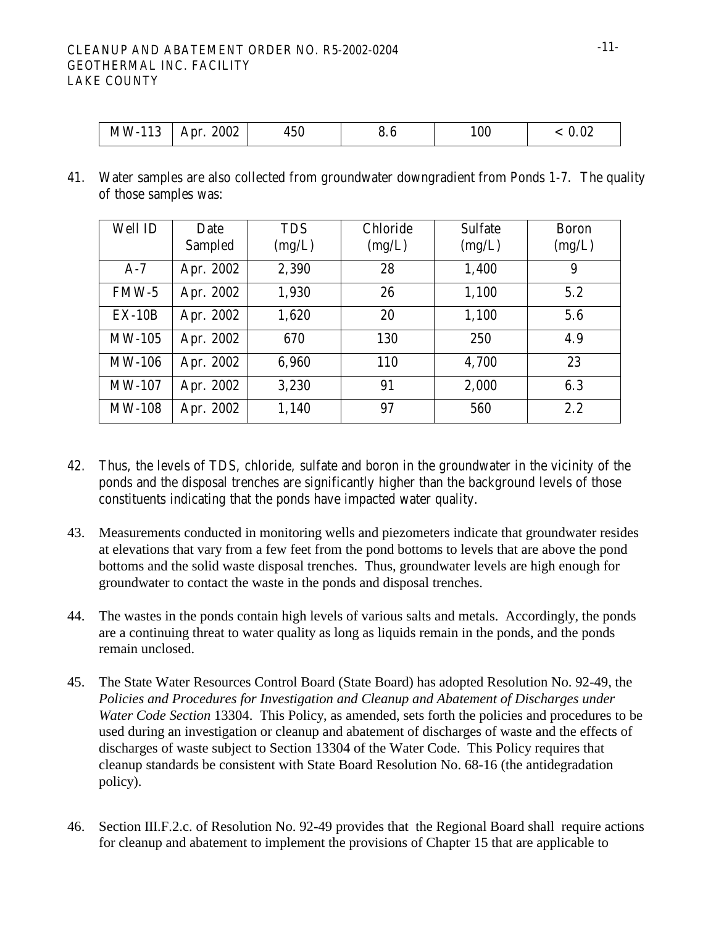### CLEANUP AND ABATEMENT ORDER NO. R5-2002-0204 GEOTHERMAL INC. FACILITY LAKE COUNTY

| 2002<br>$MW-$<br>$-10$<br>$450\,$<br>Apr.<br>$\overline{ }$<br>11 J | £<br>o. 0 | 100 | 0.02 |
|---------------------------------------------------------------------|-----------|-----|------|
|---------------------------------------------------------------------|-----------|-----|------|

41. Water samples are also collected from groundwater downgradient from Ponds 1-7. The quality of those samples was:

| Well ID       | Date<br>Sampled | <b>TDS</b><br>(mg/L) | Chloride<br>(mg/L) | <b>Sulfate</b><br>(mg/L) | <b>Boron</b><br>(mg/L) |
|---------------|-----------------|----------------------|--------------------|--------------------------|------------------------|
| $A-7$         | Apr. 2002       | 2,390                | 28                 | 1,400                    | 9                      |
| $FMW-5$       | Apr. 2002       | 1,930                | 26                 | 1,100                    | 5.2                    |
| $EX-10B$      | Apr. 2002       | 1,620                | 20                 | 1,100                    | 5.6                    |
| <b>MW-105</b> | Apr. 2002       | 670                  | 130                | 250                      | 4.9                    |
| <b>MW-106</b> | Apr. 2002       | 6,960                | 110                | 4,700                    | 23                     |
| <b>MW-107</b> | Apr. 2002       | 3,230                | 91                 | 2,000                    | 6.3                    |
| <b>MW-108</b> | Apr. 2002       | 1,140                | 97                 | 560                      | 2.2                    |

- 42. Thus, the levels of TDS, chloride, sulfate and boron in the groundwater in the vicinity of the ponds and the disposal trenches are significantly higher than the background levels of those constituents indicating that the ponds have impacted water quality.
- 43. Measurements conducted in monitoring wells and piezometers indicate that groundwater resides at elevations that vary from a few feet from the pond bottoms to levels that are above the pond bottoms and the solid waste disposal trenches. Thus, groundwater levels are high enough for groundwater to contact the waste in the ponds and disposal trenches.
- 44. The wastes in the ponds contain high levels of various salts and metals. Accordingly, the ponds are a continuing threat to water quality as long as liquids remain in the ponds, and the ponds remain unclosed.
- 45. The State Water Resources Control Board (State Board) has adopted Resolution No. 92-49, the *Policies and Procedures for Investigation and Cleanup and Abatement of Discharges under Water Code Section* 13304. This Policy, as amended, sets forth the policies and procedures to be used during an investigation or cleanup and abatement of discharges of waste and the effects of discharges of waste subject to Section 13304 of the Water Code. This Policy requires that cleanup standards be consistent with State Board Resolution No. 68-16 (the antidegradation policy).
- 46. Section III.F.2.c. of Resolution No. 92-49 provides that the Regional Board shall require actions for cleanup and abatement to implement the provisions of Chapter 15 that are applicable to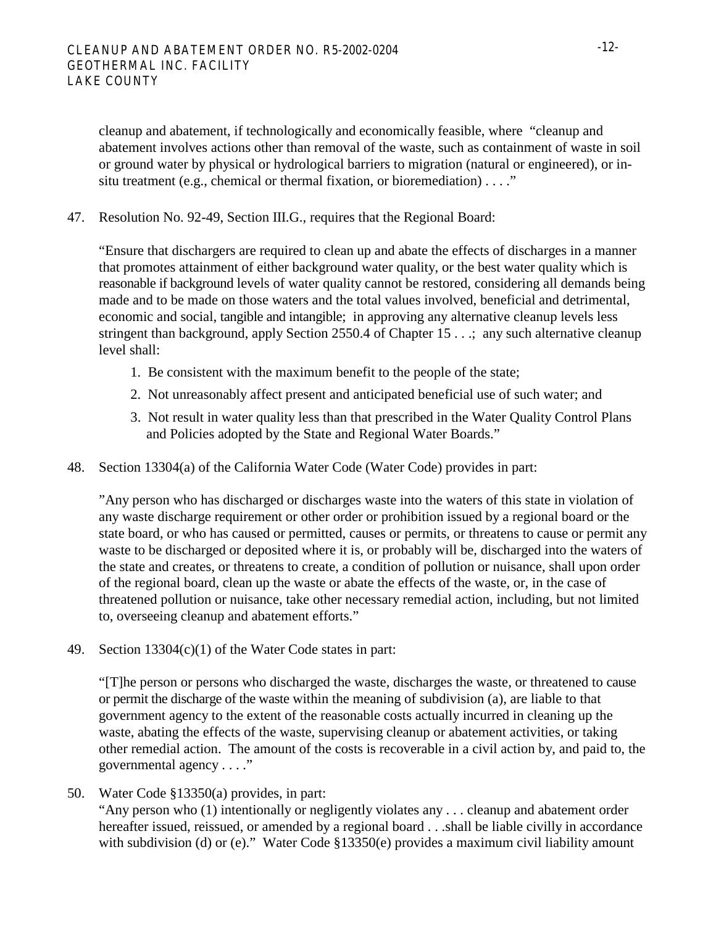cleanup and abatement, if technologically and economically feasible, where "cleanup and abatement involves actions other than removal of the waste, such as containment of waste in soil or ground water by physical or hydrological barriers to migration (natural or engineered), or insitu treatment (e.g., chemical or thermal fixation, or bioremediation) . . . ."

47. Resolution No. 92-49, Section III.G., requires that the Regional Board:

"Ensure that dischargers are required to clean up and abate the effects of discharges in a manner that promotes attainment of either background water quality, or the best water quality which is reasonable if background levels of water quality cannot be restored, considering all demands being made and to be made on those waters and the total values involved, beneficial and detrimental, economic and social, tangible and intangible; in approving any alternative cleanup levels less stringent than background, apply Section 2550.4 of Chapter 15 . . .; any such alternative cleanup level shall:

- 1. Be consistent with the maximum benefit to the people of the state;
- 2. Not unreasonably affect present and anticipated beneficial use of such water; and
- 3. Not result in water quality less than that prescribed in the Water Quality Control Plans and Policies adopted by the State and Regional Water Boards."
- 48. Section 13304(a) of the California Water Code (Water Code) provides in part:

"Any person who has discharged or discharges waste into the waters of this state in violation of any waste discharge requirement or other order or prohibition issued by a regional board or the state board, or who has caused or permitted, causes or permits, or threatens to cause or permit any waste to be discharged or deposited where it is, or probably will be, discharged into the waters of the state and creates, or threatens to create, a condition of pollution or nuisance, shall upon order of the regional board, clean up the waste or abate the effects of the waste, or, in the case of threatened pollution or nuisance, take other necessary remedial action, including, but not limited to, overseeing cleanup and abatement efforts."

49. Section 13304(c)(1) of the Water Code states in part:

"[T]he person or persons who discharged the waste, discharges the waste, or threatened to cause or permit the discharge of the waste within the meaning of subdivision (a), are liable to that government agency to the extent of the reasonable costs actually incurred in cleaning up the waste, abating the effects of the waste, supervising cleanup or abatement activities, or taking other remedial action. The amount of the costs is recoverable in a civil action by, and paid to, the governmental agency . . . ."

50. Water Code §13350(a) provides, in part:

"Any person who (1) intentionally or negligently violates any . . . cleanup and abatement order hereafter issued, reissued, or amended by a regional board . . .shall be liable civilly in accordance with subdivision (d) or (e)." Water Code §13350(e) provides a maximum civil liability amount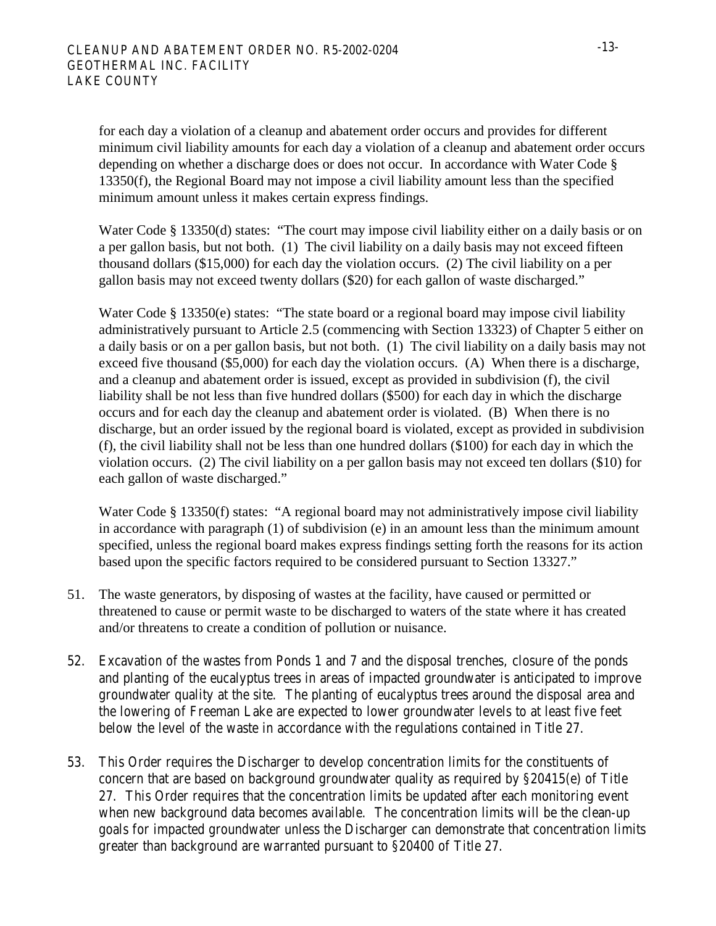for each day a violation of a cleanup and abatement order occurs and provides for different minimum civil liability amounts for each day a violation of a cleanup and abatement order occurs depending on whether a discharge does or does not occur. In accordance with Water Code § 13350(f), the Regional Board may not impose a civil liability amount less than the specified minimum amount unless it makes certain express findings.

Water Code § 13350(d) states: "The court may impose civil liability either on a daily basis or on a per gallon basis, but not both. (1) The civil liability on a daily basis may not exceed fifteen thousand dollars (\$15,000) for each day the violation occurs. (2) The civil liability on a per gallon basis may not exceed twenty dollars (\$20) for each gallon of waste discharged."

Water Code § 13350(e) states: "The state board or a regional board may impose civil liability administratively pursuant to Article 2.5 (commencing with Section 13323) of Chapter 5 either on a daily basis or on a per gallon basis, but not both. (1) The civil liability on a daily basis may not exceed five thousand (\$5,000) for each day the violation occurs. (A) When there is a discharge, and a cleanup and abatement order is issued, except as provided in subdivision (f), the civil liability shall be not less than five hundred dollars (\$500) for each day in which the discharge occurs and for each day the cleanup and abatement order is violated. (B) When there is no discharge, but an order issued by the regional board is violated, except as provided in subdivision (f), the civil liability shall not be less than one hundred dollars (\$100) for each day in which the violation occurs. (2) The civil liability on a per gallon basis may not exceed ten dollars (\$10) for each gallon of waste discharged."

Water Code § 13350(f) states: "A regional board may not administratively impose civil liability in accordance with paragraph (1) of subdivision (e) in an amount less than the minimum amount specified, unless the regional board makes express findings setting forth the reasons for its action based upon the specific factors required to be considered pursuant to Section 13327."

- 51. The waste generators, by disposing of wastes at the facility, have caused or permitted or threatened to cause or permit waste to be discharged to waters of the state where it has created and/or threatens to create a condition of pollution or nuisance.
- 52. Excavation of the wastes from Ponds 1 and 7 and the disposal trenches, closure of the ponds and planting of the eucalyptus trees in areas of impacted groundwater is anticipated to improve groundwater quality at the site. The planting of eucalyptus trees around the disposal area and the lowering of Freeman Lake are expected to lower groundwater levels to at least five feet below the level of the waste in accordance with the regulations contained in Title 27.
- 53. This Order requires the Discharger to develop concentration limits for the constituents of concern that are based on background groundwater quality as required by §20415(e) of Title 27. This Order requires that the concentration limits be updated after each monitoring event when new background data becomes available. The concentration limits will be the clean-up goals for impacted groundwater unless the Discharger can demonstrate that concentration limits greater than background are warranted pursuant to §20400 of Title 27.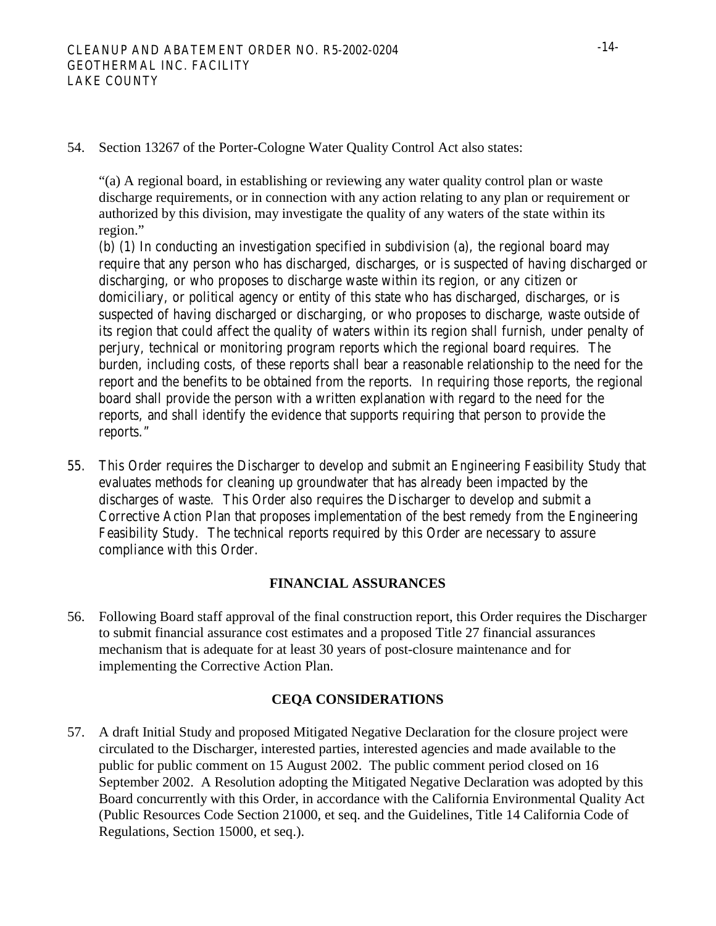54. Section 13267 of the Porter-Cologne Water Quality Control Act also states:

"(a) A regional board, in establishing or reviewing any water quality control plan or waste discharge requirements, or in connection with any action relating to any plan or requirement or authorized by this division, may investigate the quality of any waters of the state within its region."

 (b) (1) In conducting an investigation specified in subdivision (a), the regional board may require that any person who has discharged, discharges, or is suspected of having discharged or discharging, or who proposes to discharge waste within its region, or any citizen or domiciliary, or political agency or entity of this state who has discharged, discharges, or is suspected of having discharged or discharging, or who proposes to discharge, waste outside of its region that could affect the quality of waters within its region shall furnish, under penalty of perjury, technical or monitoring program reports which the regional board requires. The burden, including costs, of these reports shall bear a reasonable relationship to the need for the report and the benefits to be obtained from the reports. In requiring those reports, the regional board shall provide the person with a written explanation with regard to the need for the reports, and shall identify the evidence that supports requiring that person to provide the reports."

55. This Order requires the Discharger to develop and submit an Engineering Feasibility Study that evaluates methods for cleaning up groundwater that has already been impacted by the discharges of waste. This Order also requires the Discharger to develop and submit a Corrective Action Plan that proposes implementation of the best remedy from the Engineering Feasibility Study. The technical reports required by this Order are necessary to assure compliance with this Order.

### **FINANCIAL ASSURANCES**

56. Following Board staff approval of the final construction report, this Order requires the Discharger to submit financial assurance cost estimates and a proposed Title 27 financial assurances mechanism that is adequate for at least 30 years of post-closure maintenance and for implementing the Corrective Action Plan.

### **CEQA CONSIDERATIONS**

57. A draft Initial Study and proposed Mitigated Negative Declaration for the closure project were circulated to the Discharger, interested parties, interested agencies and made available to the public for public comment on 15 August 2002. The public comment period closed on 16 September 2002. A Resolution adopting the Mitigated Negative Declaration was adopted by this Board concurrently with this Order, in accordance with the California Environmental Quality Act (Public Resources Code Section 21000, et seq. and the Guidelines, Title 14 California Code of Regulations, Section 15000, et seq.).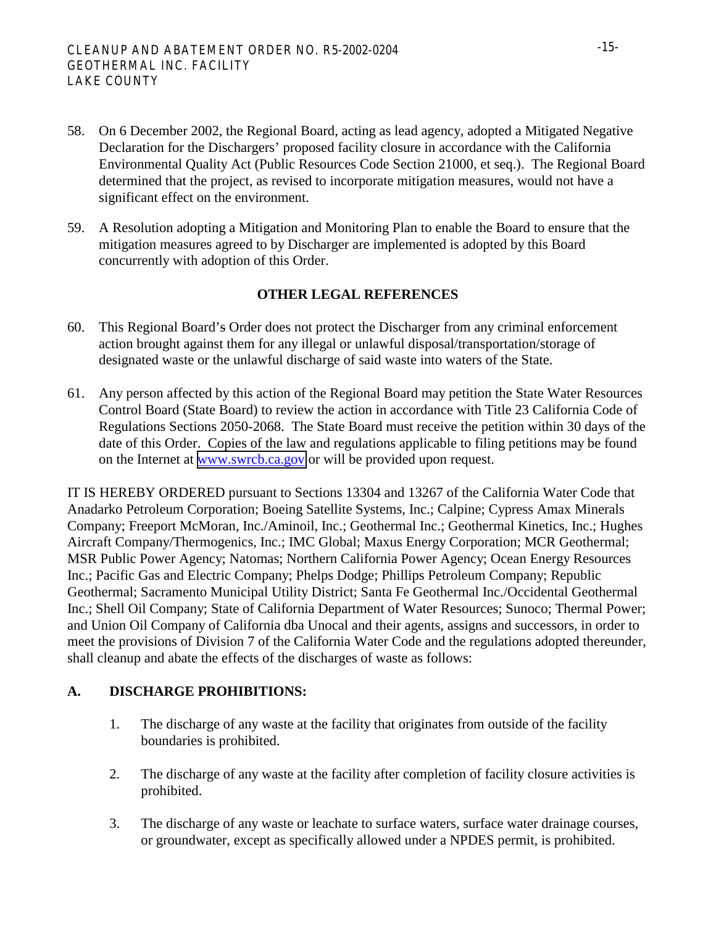- 58. On 6 December 2002, the Regional Board, acting as lead agency, adopted a Mitigated Negative Declaration for the Dischargers' proposed facility closure in accordance with the California Environmental Quality Act (Public Resources Code Section 21000, et seq.). The Regional Board determined that the project, as revised to incorporate mitigation measures, would not have a significant effect on the environment.
- 59. A Resolution adopting a Mitigation and Monitoring Plan to enable the Board to ensure that the mitigation measures agreed to by Discharger are implemented is adopted by this Board concurrently with adoption of this Order.

### **OTHER LEGAL REFERENCES**

- 60. This Regional Board's Order does not protect the Discharger from any criminal enforcement action brought against them for any illegal or unlawful disposal/transportation/storage of designated waste or the unlawful discharge of said waste into waters of the State.
- 61. Any person affected by this action of the Regional Board may petition the State Water Resources Control Board (State Board) to review the action in accordance with Title 23 California Code of Regulations Sections 2050-2068. The State Board must receive the petition within 30 days of the date of this Order. Copies of the law and regulations applicable to filing petitions may be found on the Internet at [www.swrcb.ca.gov](http://www.swrcb.ca.gov/) or will be provided upon request.

IT IS HEREBY ORDERED pursuant to Sections 13304 and 13267 of the California Water Code that Anadarko Petroleum Corporation; Boeing Satellite Systems, Inc.; Calpine; Cypress Amax Minerals Company; Freeport McMoran, Inc./Aminoil, Inc.; Geothermal Inc.; Geothermal Kinetics, Inc.; Hughes Aircraft Company/Thermogenics, Inc.; IMC Global; Maxus Energy Corporation; MCR Geothermal; MSR Public Power Agency; Natomas; Northern California Power Agency; Ocean Energy Resources Inc.; Pacific Gas and Electric Company; Phelps Dodge; Phillips Petroleum Company; Republic Geothermal; Sacramento Municipal Utility District; Santa Fe Geothermal Inc./Occidental Geothermal Inc.; Shell Oil Company; State of California Department of Water Resources; Sunoco; Thermal Power; and Union Oil Company of California dba Unocal and their agents, assigns and successors, in order to meet the provisions of Division 7 of the California Water Code and the regulations adopted thereunder, shall cleanup and abate the effects of the discharges of waste as follows:

# **A. DISCHARGE PROHIBITIONS:**

- 1. The discharge of any waste at the facility that originates from outside of the facility boundaries is prohibited.
- 2. The discharge of any waste at the facility after completion of facility closure activities is prohibited.
- 3. The discharge of any waste or leachate to surface waters, surface water drainage courses, or groundwater, except as specifically allowed under a NPDES permit, is prohibited.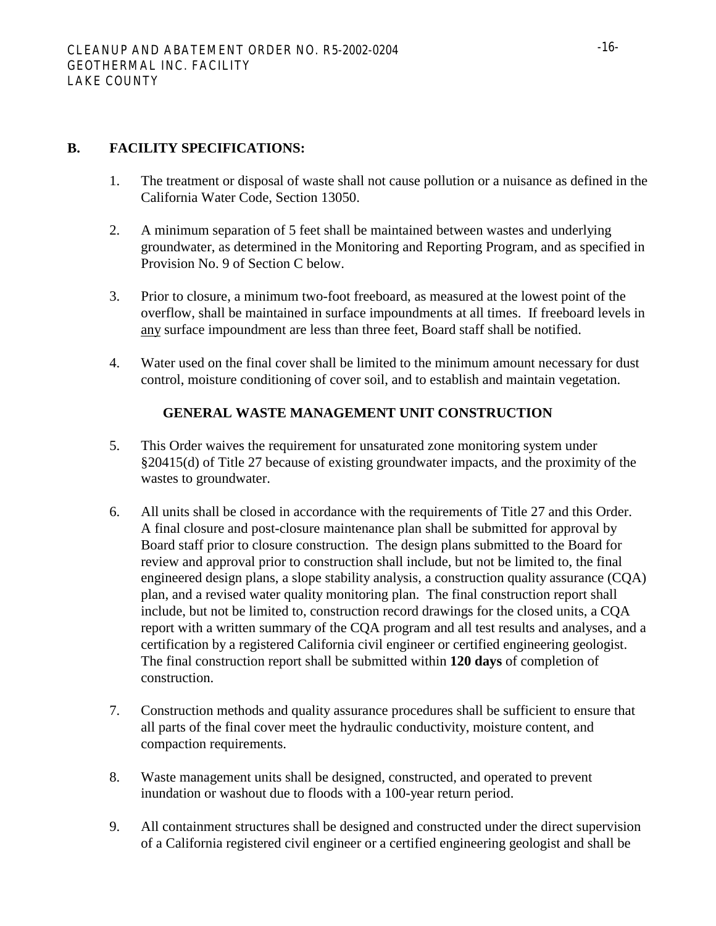# **B. FACILITY SPECIFICATIONS:**

- 1. The treatment or disposal of waste shall not cause pollution or a nuisance as defined in the California Water Code, Section 13050.
- 2. A minimum separation of 5 feet shall be maintained between wastes and underlying groundwater, as determined in the Monitoring and Reporting Program, and as specified in Provision No. 9 of Section C below.
- 3. Prior to closure, a minimum two-foot freeboard, as measured at the lowest point of the overflow, shall be maintained in surface impoundments at all times. If freeboard levels in any surface impoundment are less than three feet, Board staff shall be notified.
- 4. Water used on the final cover shall be limited to the minimum amount necessary for dust control, moisture conditioning of cover soil, and to establish and maintain vegetation.

## **GENERAL WASTE MANAGEMENT UNIT CONSTRUCTION**

- 5. This Order waives the requirement for unsaturated zone monitoring system under §20415(d) of Title 27 because of existing groundwater impacts, and the proximity of the wastes to groundwater.
- 6. All units shall be closed in accordance with the requirements of Title 27 and this Order. A final closure and post-closure maintenance plan shall be submitted for approval by Board staff prior to closure construction. The design plans submitted to the Board for review and approval prior to construction shall include, but not be limited to, the final engineered design plans, a slope stability analysis, a construction quality assurance (CQA) plan, and a revised water quality monitoring plan. The final construction report shall include, but not be limited to, construction record drawings for the closed units, a CQA report with a written summary of the CQA program and all test results and analyses, and a certification by a registered California civil engineer or certified engineering geologist. The final construction report shall be submitted within **120 days** of completion of construction.
- 7. Construction methods and quality assurance procedures shall be sufficient to ensure that all parts of the final cover meet the hydraulic conductivity, moisture content, and compaction requirements.
- 8. Waste management units shall be designed, constructed, and operated to prevent inundation or washout due to floods with a 100-year return period.
- 9. All containment structures shall be designed and constructed under the direct supervision of a California registered civil engineer or a certified engineering geologist and shall be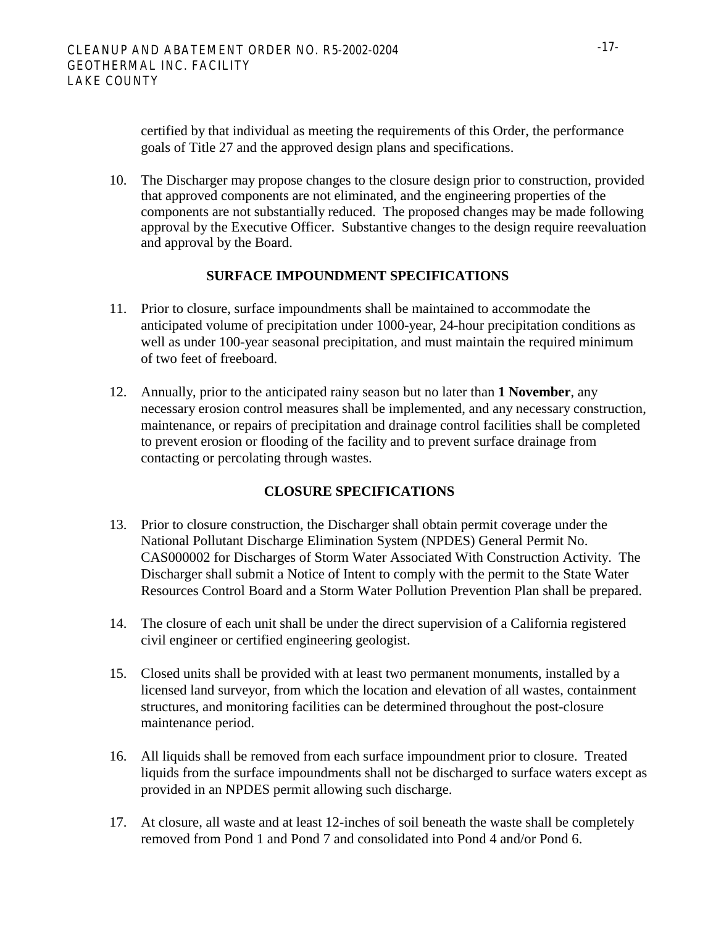certified by that individual as meeting the requirements of this Order, the performance goals of Title 27 and the approved design plans and specifications.

10. The Discharger may propose changes to the closure design prior to construction, provided that approved components are not eliminated, and the engineering properties of the components are not substantially reduced. The proposed changes may be made following approval by the Executive Officer. Substantive changes to the design require reevaluation and approval by the Board.

#### **SURFACE IMPOUNDMENT SPECIFICATIONS**

- 11. Prior to closure, surface impoundments shall be maintained to accommodate the anticipated volume of precipitation under 1000-year, 24-hour precipitation conditions as well as under 100-year seasonal precipitation, and must maintain the required minimum of two feet of freeboard.
- 12. Annually, prior to the anticipated rainy season but no later than **1 November**, any necessary erosion control measures shall be implemented, and any necessary construction, maintenance, or repairs of precipitation and drainage control facilities shall be completed to prevent erosion or flooding of the facility and to prevent surface drainage from contacting or percolating through wastes.

### **CLOSURE SPECIFICATIONS**

- 13. Prior to closure construction, the Discharger shall obtain permit coverage under the National Pollutant Discharge Elimination System (NPDES) General Permit No. CAS000002 for Discharges of Storm Water Associated With Construction Activity. The Discharger shall submit a Notice of Intent to comply with the permit to the State Water Resources Control Board and a Storm Water Pollution Prevention Plan shall be prepared.
- 14. The closure of each unit shall be under the direct supervision of a California registered civil engineer or certified engineering geologist.
- 15. Closed units shall be provided with at least two permanent monuments, installed by a licensed land surveyor, from which the location and elevation of all wastes, containment structures, and monitoring facilities can be determined throughout the post-closure maintenance period.
- 16. All liquids shall be removed from each surface impoundment prior to closure. Treated liquids from the surface impoundments shall not be discharged to surface waters except as provided in an NPDES permit allowing such discharge.
- 17. At closure, all waste and at least 12-inches of soil beneath the waste shall be completely removed from Pond 1 and Pond 7 and consolidated into Pond 4 and/or Pond 6.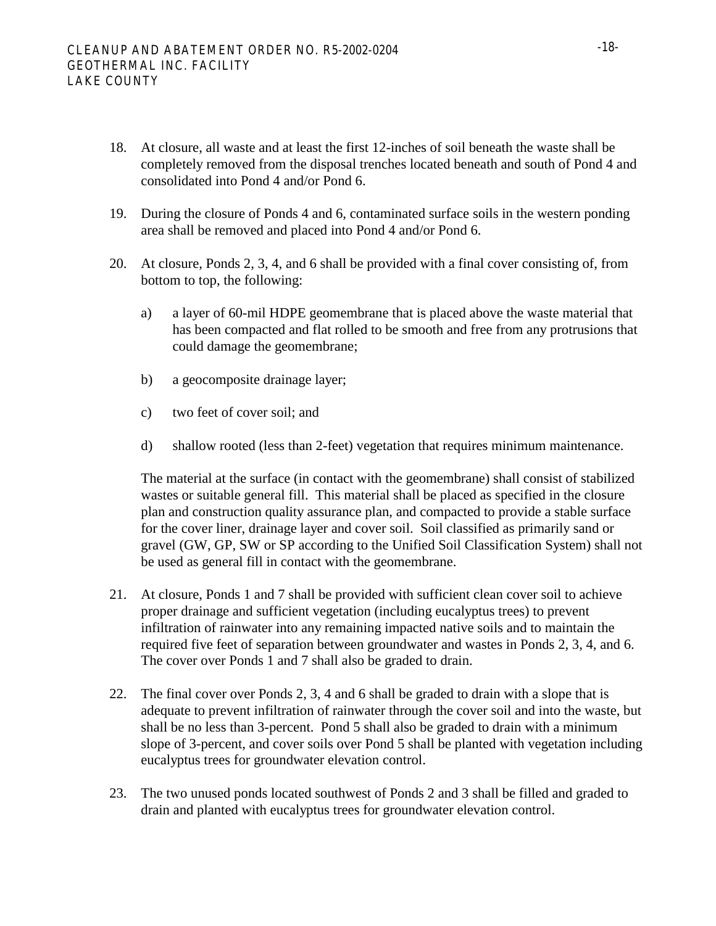- 18. At closure, all waste and at least the first 12-inches of soil beneath the waste shall be completely removed from the disposal trenches located beneath and south of Pond 4 and consolidated into Pond 4 and/or Pond 6.
- 19. During the closure of Ponds 4 and 6, contaminated surface soils in the western ponding area shall be removed and placed into Pond 4 and/or Pond 6.
- 20. At closure, Ponds 2, 3, 4, and 6 shall be provided with a final cover consisting of, from bottom to top, the following:
	- a) a layer of 60-mil HDPE geomembrane that is placed above the waste material that has been compacted and flat rolled to be smooth and free from any protrusions that could damage the geomembrane;
	- b) a geocomposite drainage layer;
	- c) two feet of cover soil; and
	- d) shallow rooted (less than 2-feet) vegetation that requires minimum maintenance.

The material at the surface (in contact with the geomembrane) shall consist of stabilized wastes or suitable general fill. This material shall be placed as specified in the closure plan and construction quality assurance plan, and compacted to provide a stable surface for the cover liner, drainage layer and cover soil. Soil classified as primarily sand or gravel (GW, GP, SW or SP according to the Unified Soil Classification System) shall not be used as general fill in contact with the geomembrane.

- 21. At closure, Ponds 1 and 7 shall be provided with sufficient clean cover soil to achieve proper drainage and sufficient vegetation (including eucalyptus trees) to prevent infiltration of rainwater into any remaining impacted native soils and to maintain the required five feet of separation between groundwater and wastes in Ponds 2, 3, 4, and 6. The cover over Ponds 1 and 7 shall also be graded to drain.
- 22. The final cover over Ponds 2, 3, 4 and 6 shall be graded to drain with a slope that is adequate to prevent infiltration of rainwater through the cover soil and into the waste, but shall be no less than 3-percent. Pond 5 shall also be graded to drain with a minimum slope of 3-percent, and cover soils over Pond 5 shall be planted with vegetation including eucalyptus trees for groundwater elevation control.
- 23. The two unused ponds located southwest of Ponds 2 and 3 shall be filled and graded to drain and planted with eucalyptus trees for groundwater elevation control.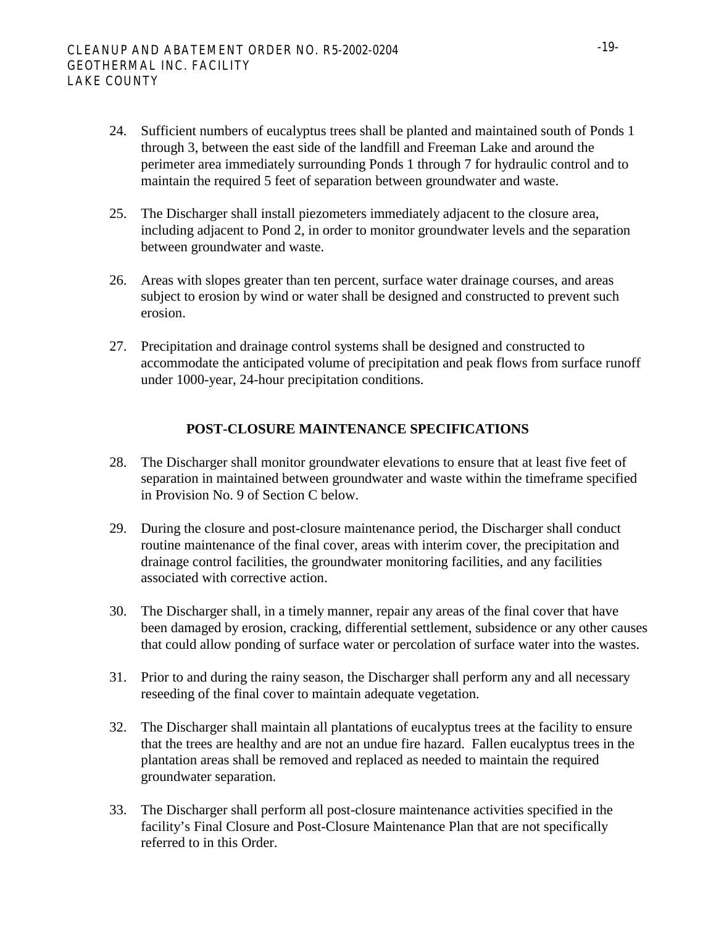- 24. Sufficient numbers of eucalyptus trees shall be planted and maintained south of Ponds 1 through 3, between the east side of the landfill and Freeman Lake and around the perimeter area immediately surrounding Ponds 1 through 7 for hydraulic control and to maintain the required 5 feet of separation between groundwater and waste.
- 25. The Discharger shall install piezometers immediately adjacent to the closure area, including adjacent to Pond 2, in order to monitor groundwater levels and the separation between groundwater and waste.
- 26. Areas with slopes greater than ten percent, surface water drainage courses, and areas subject to erosion by wind or water shall be designed and constructed to prevent such erosion.
- 27. Precipitation and drainage control systems shall be designed and constructed to accommodate the anticipated volume of precipitation and peak flows from surface runoff under 1000-year, 24-hour precipitation conditions.

### **POST-CLOSURE MAINTENANCE SPECIFICATIONS**

- 28. The Discharger shall monitor groundwater elevations to ensure that at least five feet of separation in maintained between groundwater and waste within the timeframe specified in Provision No. 9 of Section C below.
- 29. During the closure and post-closure maintenance period, the Discharger shall conduct routine maintenance of the final cover, areas with interim cover, the precipitation and drainage control facilities, the groundwater monitoring facilities, and any facilities associated with corrective action.
- 30. The Discharger shall, in a timely manner, repair any areas of the final cover that have been damaged by erosion, cracking, differential settlement, subsidence or any other causes that could allow ponding of surface water or percolation of surface water into the wastes.
- 31. Prior to and during the rainy season, the Discharger shall perform any and all necessary reseeding of the final cover to maintain adequate vegetation.
- 32. The Discharger shall maintain all plantations of eucalyptus trees at the facility to ensure that the trees are healthy and are not an undue fire hazard. Fallen eucalyptus trees in the plantation areas shall be removed and replaced as needed to maintain the required groundwater separation.
- 33. The Discharger shall perform all post-closure maintenance activities specified in the facility's Final Closure and Post-Closure Maintenance Plan that are not specifically referred to in this Order.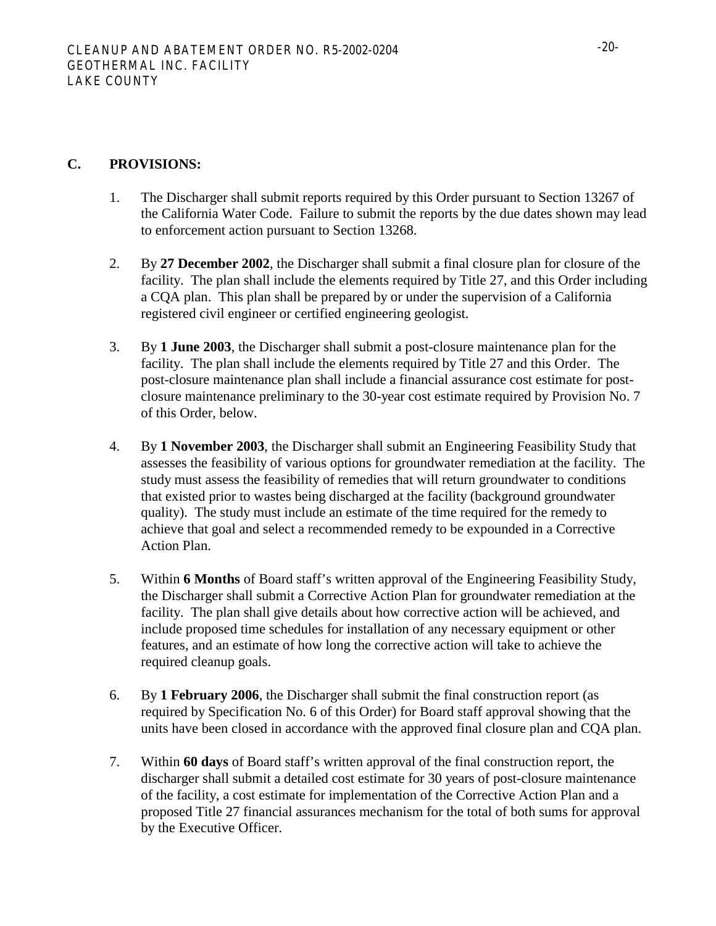### **C. PROVISIONS:**

- 1. The Discharger shall submit reports required by this Order pursuant to Section 13267 of the California Water Code. Failure to submit the reports by the due dates shown may lead to enforcement action pursuant to Section 13268.
- 2. By **27 December 2002**, the Discharger shall submit a final closure plan for closure of the facility. The plan shall include the elements required by Title 27, and this Order including a CQA plan. This plan shall be prepared by or under the supervision of a California registered civil engineer or certified engineering geologist.
- 3. By **1 June 2003**, the Discharger shall submit a post-closure maintenance plan for the facility. The plan shall include the elements required by Title 27 and this Order. The post-closure maintenance plan shall include a financial assurance cost estimate for postclosure maintenance preliminary to the 30-year cost estimate required by Provision No. 7 of this Order, below.
- 4. By **1 November 2003**, the Discharger shall submit an Engineering Feasibility Study that assesses the feasibility of various options for groundwater remediation at the facility. The study must assess the feasibility of remedies that will return groundwater to conditions that existed prior to wastes being discharged at the facility (background groundwater quality). The study must include an estimate of the time required for the remedy to achieve that goal and select a recommended remedy to be expounded in a Corrective Action Plan.
- 5. Within **6 Months** of Board staff's written approval of the Engineering Feasibility Study, the Discharger shall submit a Corrective Action Plan for groundwater remediation at the facility. The plan shall give details about how corrective action will be achieved, and include proposed time schedules for installation of any necessary equipment or other features, and an estimate of how long the corrective action will take to achieve the required cleanup goals.
- 6. By **1 February 2006**, the Discharger shall submit the final construction report (as required by Specification No. 6 of this Order) for Board staff approval showing that the units have been closed in accordance with the approved final closure plan and CQA plan.
- 7. Within **60 days** of Board staff's written approval of the final construction report, the discharger shall submit a detailed cost estimate for 30 years of post-closure maintenance of the facility, a cost estimate for implementation of the Corrective Action Plan and a proposed Title 27 financial assurances mechanism for the total of both sums for approval by the Executive Officer.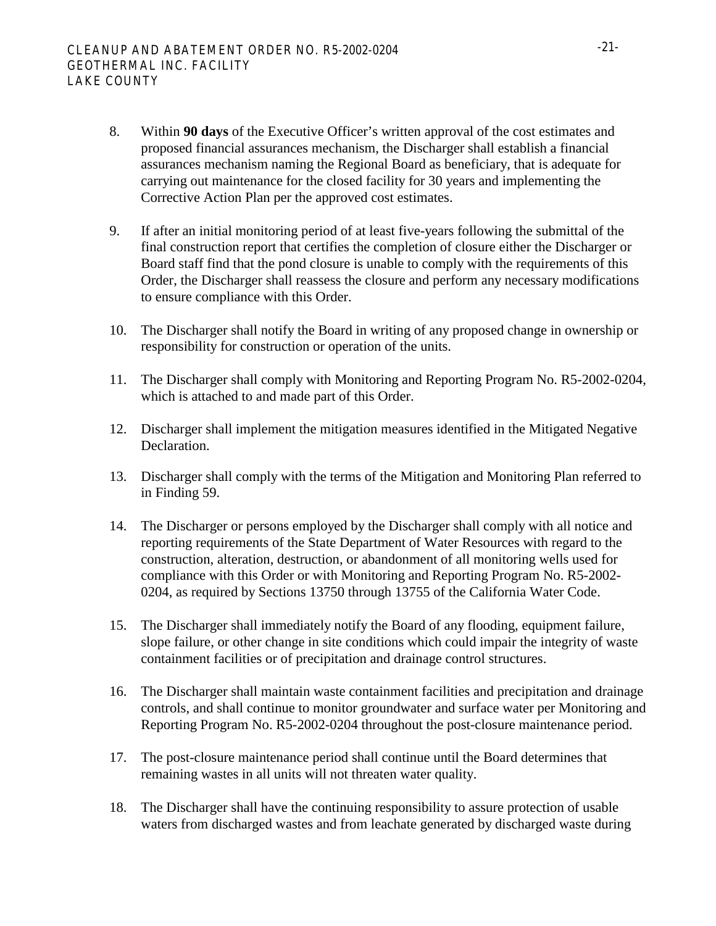- 8. Within **90 days** of the Executive Officer's written approval of the cost estimates and proposed financial assurances mechanism, the Discharger shall establish a financial assurances mechanism naming the Regional Board as beneficiary, that is adequate for carrying out maintenance for the closed facility for 30 years and implementing the Corrective Action Plan per the approved cost estimates.
- 9. If after an initial monitoring period of at least five-years following the submittal of the final construction report that certifies the completion of closure either the Discharger or Board staff find that the pond closure is unable to comply with the requirements of this Order, the Discharger shall reassess the closure and perform any necessary modifications to ensure compliance with this Order.
- 10. The Discharger shall notify the Board in writing of any proposed change in ownership or responsibility for construction or operation of the units.
- 11. The Discharger shall comply with Monitoring and Reporting Program No. R5-2002-0204, which is attached to and made part of this Order.
- 12. Discharger shall implement the mitigation measures identified in the Mitigated Negative Declaration.
- 13. Discharger shall comply with the terms of the Mitigation and Monitoring Plan referred to in Finding 59.
- 14. The Discharger or persons employed by the Discharger shall comply with all notice and reporting requirements of the State Department of Water Resources with regard to the construction, alteration, destruction, or abandonment of all monitoring wells used for compliance with this Order or with Monitoring and Reporting Program No. R5-2002- 0204, as required by Sections 13750 through 13755 of the California Water Code.
- 15. The Discharger shall immediately notify the Board of any flooding, equipment failure, slope failure, or other change in site conditions which could impair the integrity of waste containment facilities or of precipitation and drainage control structures.
- 16. The Discharger shall maintain waste containment facilities and precipitation and drainage controls, and shall continue to monitor groundwater and surface water per Monitoring and Reporting Program No. R5-2002-0204 throughout the post-closure maintenance period.
- 17. The post-closure maintenance period shall continue until the Board determines that remaining wastes in all units will not threaten water quality.
- 18. The Discharger shall have the continuing responsibility to assure protection of usable waters from discharged wastes and from leachate generated by discharged waste during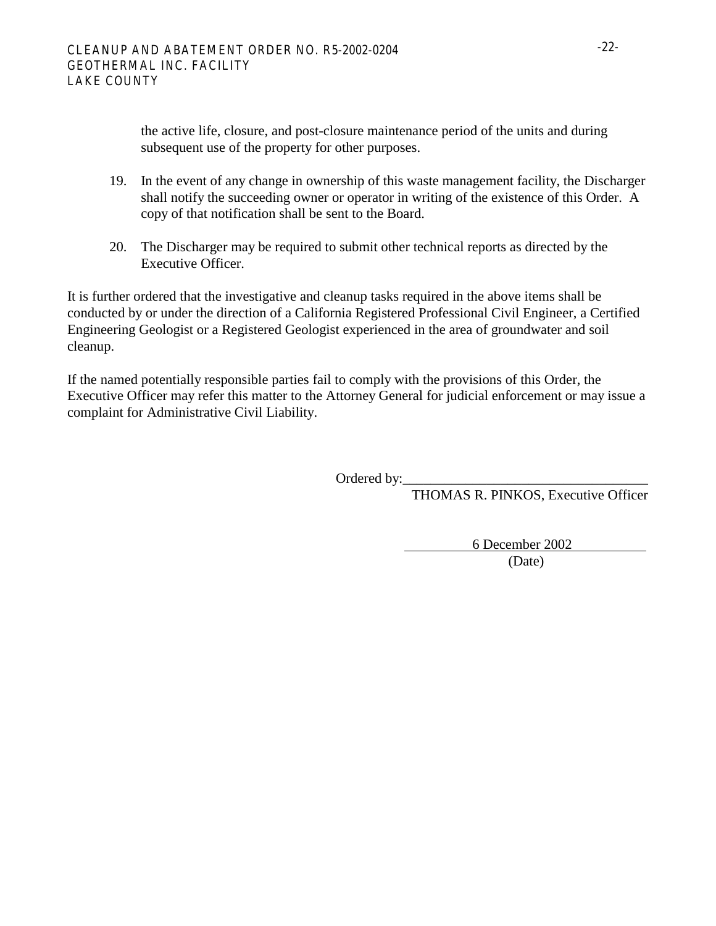the active life, closure, and post-closure maintenance period of the units and during subsequent use of the property for other purposes.

- 19. In the event of any change in ownership of this waste management facility, the Discharger shall notify the succeeding owner or operator in writing of the existence of this Order. A copy of that notification shall be sent to the Board.
- 20. The Discharger may be required to submit other technical reports as directed by the Executive Officer.

It is further ordered that the investigative and cleanup tasks required in the above items shall be conducted by or under the direction of a California Registered Professional Civil Engineer, a Certified Engineering Geologist or a Registered Geologist experienced in the area of groundwater and soil cleanup.

If the named potentially responsible parties fail to comply with the provisions of this Order, the Executive Officer may refer this matter to the Attorney General for judicial enforcement or may issue a complaint for Administrative Civil Liability.

Ordered by:\_\_\_\_\_\_\_\_\_\_\_\_\_\_\_\_\_\_\_\_\_\_\_\_\_\_\_\_\_\_\_\_\_\_\_

THOMAS R. PINKOS, Executive Officer

6 December 2002

(Date)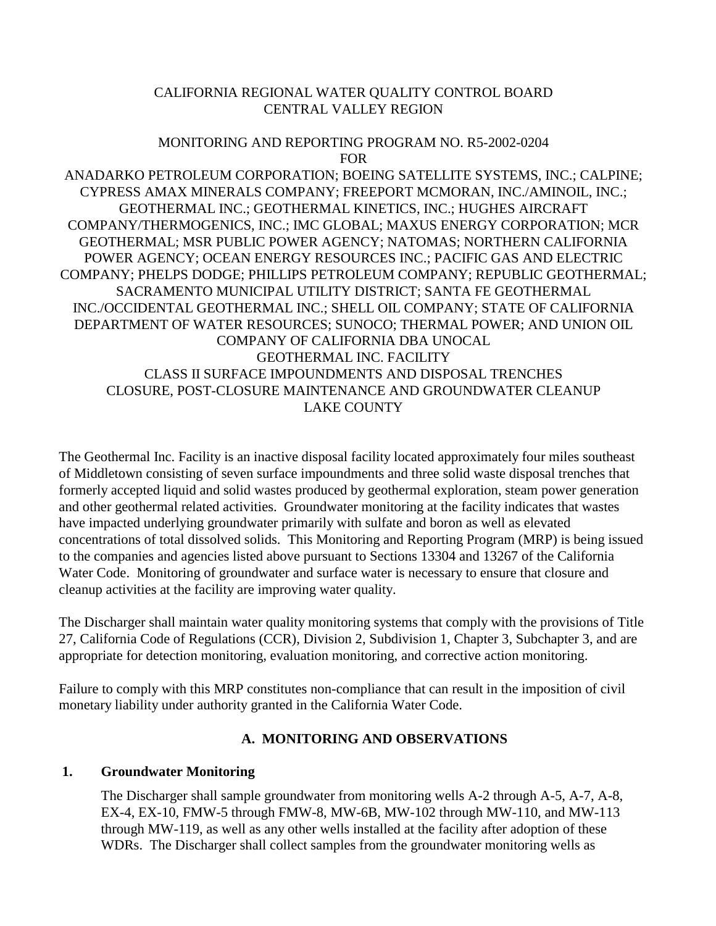# CALIFORNIA REGIONAL WATER QUALITY CONTROL BOARD CENTRAL VALLEY REGION

#### MONITORING AND REPORTING PROGRAM NO. R5-2002-0204 FOR

ANADARKO PETROLEUM CORPORATION; BOEING SATELLITE SYSTEMS, INC.; CALPINE; CYPRESS AMAX MINERALS COMPANY; FREEPORT MCMORAN, INC./AMINOIL, INC.; GEOTHERMAL INC.; GEOTHERMAL KINETICS, INC.; HUGHES AIRCRAFT COMPANY/THERMOGENICS, INC.; IMC GLOBAL; MAXUS ENERGY CORPORATION; MCR GEOTHERMAL; MSR PUBLIC POWER AGENCY; NATOMAS; NORTHERN CALIFORNIA POWER AGENCY; OCEAN ENERGY RESOURCES INC.; PACIFIC GAS AND ELECTRIC COMPANY; PHELPS DODGE; PHILLIPS PETROLEUM COMPANY; REPUBLIC GEOTHERMAL; SACRAMENTO MUNICIPAL UTILITY DISTRICT; SANTA FE GEOTHERMAL INC./OCCIDENTAL GEOTHERMAL INC.; SHELL OIL COMPANY; STATE OF CALIFORNIA DEPARTMENT OF WATER RESOURCES; SUNOCO; THERMAL POWER; AND UNION OIL COMPANY OF CALIFORNIA DBA UNOCAL GEOTHERMAL INC. FACILITY CLASS II SURFACE IMPOUNDMENTS AND DISPOSAL TRENCHES CLOSURE, POST-CLOSURE MAINTENANCE AND GROUNDWATER CLEANUP LAKE COUNTY

The Geothermal Inc. Facility is an inactive disposal facility located approximately four miles southeast of Middletown consisting of seven surface impoundments and three solid waste disposal trenches that formerly accepted liquid and solid wastes produced by geothermal exploration, steam power generation and other geothermal related activities. Groundwater monitoring at the facility indicates that wastes have impacted underlying groundwater primarily with sulfate and boron as well as elevated concentrations of total dissolved solids. This Monitoring and Reporting Program (MRP) is being issued to the companies and agencies listed above pursuant to Sections 13304 and 13267 of the California Water Code. Monitoring of groundwater and surface water is necessary to ensure that closure and cleanup activities at the facility are improving water quality.

The Discharger shall maintain water quality monitoring systems that comply with the provisions of Title 27, California Code of Regulations (CCR), Division 2, Subdivision 1, Chapter 3, Subchapter 3, and are appropriate for detection monitoring, evaluation monitoring, and corrective action monitoring.

Failure to comply with this MRP constitutes non-compliance that can result in the imposition of civil monetary liability under authority granted in the California Water Code.

# **A. MONITORING AND OBSERVATIONS**

### **1. Groundwater Monitoring**

The Discharger shall sample groundwater from monitoring wells A-2 through A-5, A-7, A-8, EX-4, EX-10, FMW-5 through FMW-8, MW-6B, MW-102 through MW-110, and MW-113 through MW-119, as well as any other wells installed at the facility after adoption of these WDRs. The Discharger shall collect samples from the groundwater monitoring wells as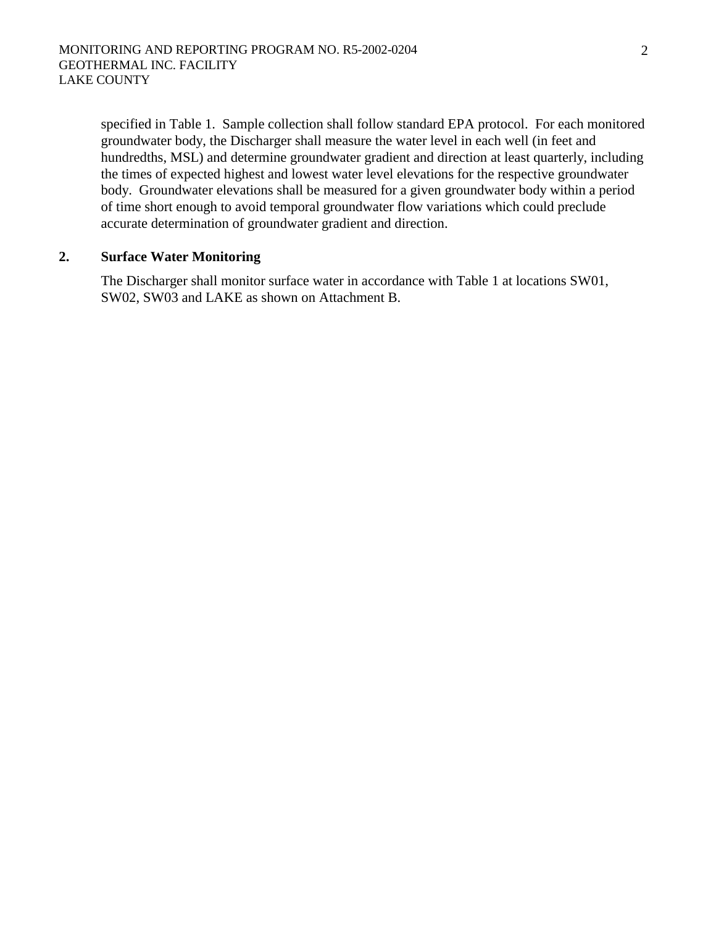specified in Table 1. Sample collection shall follow standard EPA protocol. For each monitored groundwater body, the Discharger shall measure the water level in each well (in feet and hundredths, MSL) and determine groundwater gradient and direction at least quarterly, including the times of expected highest and lowest water level elevations for the respective groundwater body. Groundwater elevations shall be measured for a given groundwater body within a period of time short enough to avoid temporal groundwater flow variations which could preclude accurate determination of groundwater gradient and direction.

#### **2. Surface Water Monitoring**

The Discharger shall monitor surface water in accordance with Table 1 at locations SW01, SW02, SW03 and LAKE as shown on Attachment B.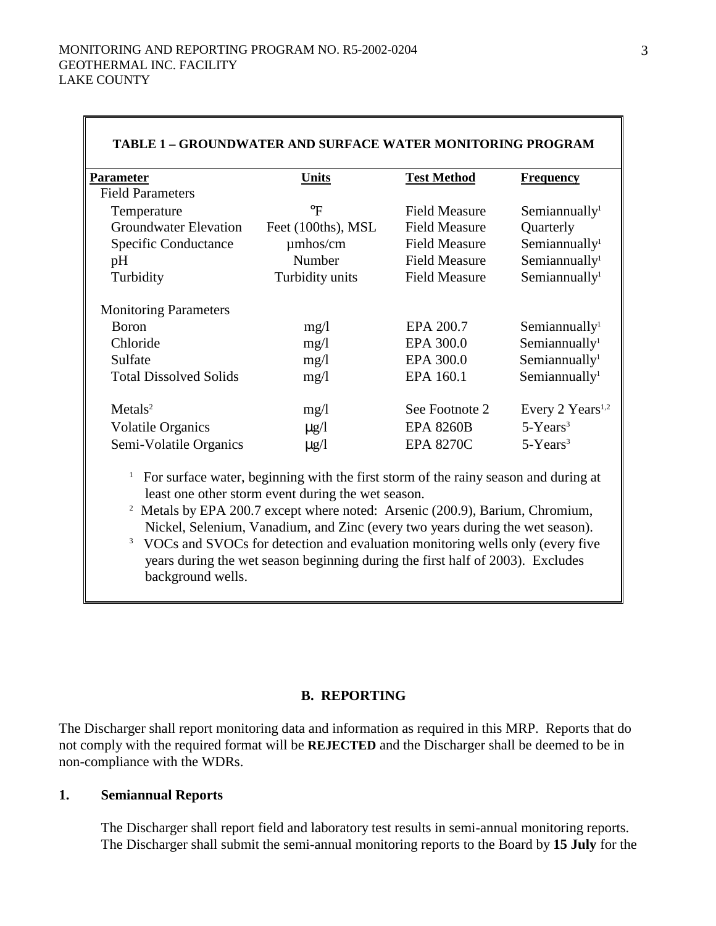| <b>TABLE 1 - GROUNDWATER AND SURFACE WATER MONITORING PROGRAM</b> |                    |                      |                                   |  |  |
|-------------------------------------------------------------------|--------------------|----------------------|-----------------------------------|--|--|
| <b>Parameter</b>                                                  | <b>Units</b>       | <b>Test Method</b>   | <b>Frequency</b>                  |  |  |
| <b>Field Parameters</b>                                           |                    |                      |                                   |  |  |
| Temperature                                                       | $\rm ^{\circ}F$    | <b>Field Measure</b> | Semiannually $l$                  |  |  |
| <b>Groundwater Elevation</b>                                      | Feet (100ths), MSL | <b>Field Measure</b> | Quarterly                         |  |  |
| Specific Conductance                                              | $\mu$ mhos/cm      | <b>Field Measure</b> | Semiannually <sup>1</sup>         |  |  |
| pH                                                                | Number             | <b>Field Measure</b> | Semiannually <sup>1</sup>         |  |  |
| Turbidity                                                         | Turbidity units    | <b>Field Measure</b> | Semiannually <sup>1</sup>         |  |  |
| <b>Monitoring Parameters</b>                                      |                    |                      |                                   |  |  |
| <b>Boron</b>                                                      | mg/1               | EPA 200.7            | Semian <i>null</i> y <sup>1</sup> |  |  |
| Chloride                                                          | mg/1               | EPA 300.0            | Semiannually $l$                  |  |  |
| Sulfate                                                           | mg/1               | EPA 300.0            | Semiannually <sup>1</sup>         |  |  |
| <b>Total Dissolved Solids</b>                                     | mg/1               | EPA 160.1            | Semiannually <sup>1</sup>         |  |  |
| Metals <sup>2</sup>                                               | mg/1               | See Footnote 2       | Every 2 Years <sup>1,2</sup>      |  |  |
| Volatile Organics                                                 | $\mu$ g/l          | <b>EPA 8260B</b>     | $5-Years3$                        |  |  |
| Semi-Volatile Organics                                            | $\mu$ g/l          | <b>EPA 8270C</b>     | $5-Years3$                        |  |  |

<sup>1</sup> For surface water, beginning with the first storm of the rainy season and during at least one other storm event during the wet season.<br><sup>2</sup> Metals by EPA 200.7 except where noted: Arsenic (200.9), Barium, Chromium,

Nickel, Selenium, Vanadium, and Zinc (every two years during the wet season). 3

<sup>3</sup> VOCs and SVOCs for detection and evaluation monitoring wells only (every five years during the wet season beginning during the first half of 2003). Excludes background wells.

#### **B. REPORTING**

The Discharger shall report monitoring data and information as required in this MRP. Reports that do not comply with the required format will be **REJECTED** and the Discharger shall be deemed to be in non-compliance with the WDRs.

#### **1. Semiannual Reports**

The Discharger shall report field and laboratory test results in semi-annual monitoring reports. The Discharger shall submit the semi-annual monitoring reports to the Board by **15 July** for the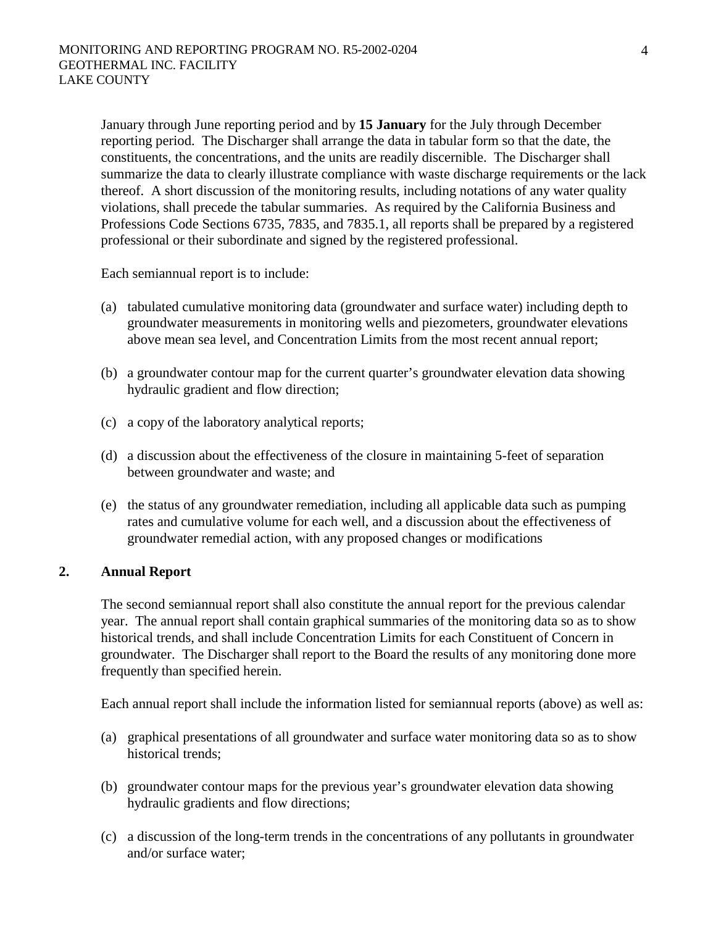January through June reporting period and by **15 January** for the July through December reporting period. The Discharger shall arrange the data in tabular form so that the date, the constituents, the concentrations, and the units are readily discernible. The Discharger shall summarize the data to clearly illustrate compliance with waste discharge requirements or the lack thereof. A short discussion of the monitoring results, including notations of any water quality violations, shall precede the tabular summaries. As required by the California Business and Professions Code Sections 6735, 7835, and 7835.1, all reports shall be prepared by a registered professional or their subordinate and signed by the registered professional.

Each semiannual report is to include:

- (a) tabulated cumulative monitoring data (groundwater and surface water) including depth to groundwater measurements in monitoring wells and piezometers, groundwater elevations above mean sea level, and Concentration Limits from the most recent annual report;
- (b) a groundwater contour map for the current quarter's groundwater elevation data showing hydraulic gradient and flow direction;
- (c) a copy of the laboratory analytical reports;
- (d) a discussion about the effectiveness of the closure in maintaining 5-feet of separation between groundwater and waste; and
- (e) the status of any groundwater remediation, including all applicable data such as pumping rates and cumulative volume for each well, and a discussion about the effectiveness of groundwater remedial action, with any proposed changes or modifications

### **2. Annual Report**

The second semiannual report shall also constitute the annual report for the previous calendar year. The annual report shall contain graphical summaries of the monitoring data so as to show historical trends, and shall include Concentration Limits for each Constituent of Concern in groundwater. The Discharger shall report to the Board the results of any monitoring done more frequently than specified herein.

Each annual report shall include the information listed for semiannual reports (above) as well as:

- (a) graphical presentations of all groundwater and surface water monitoring data so as to show historical trends;
- (b) groundwater contour maps for the previous year's groundwater elevation data showing hydraulic gradients and flow directions;
- (c) a discussion of the long-term trends in the concentrations of any pollutants in groundwater and/or surface water;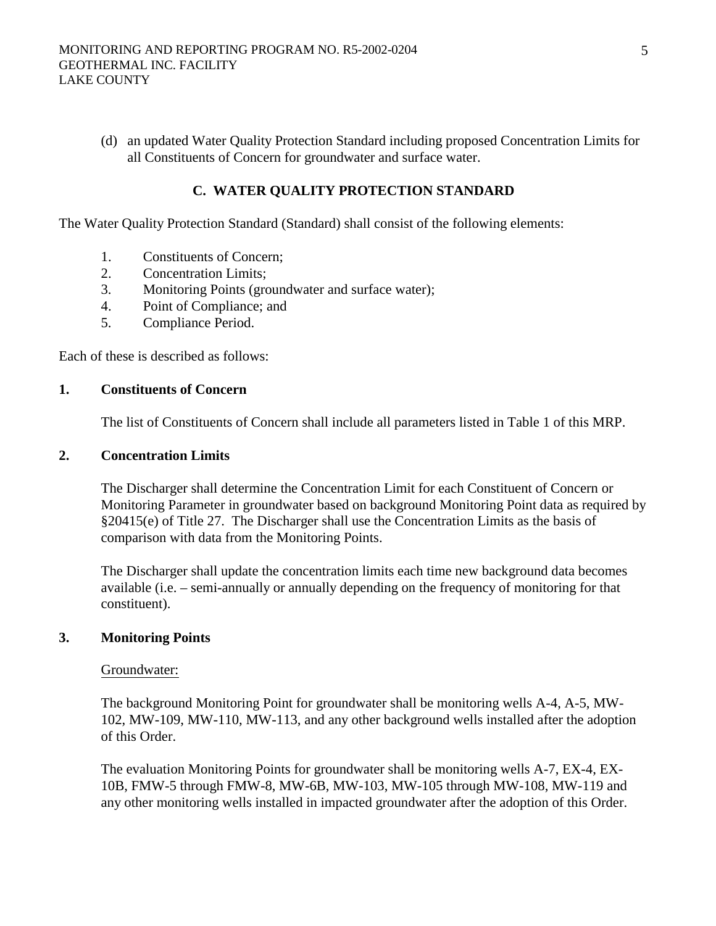(d) an updated Water Quality Protection Standard including proposed Concentration Limits for all Constituents of Concern for groundwater and surface water.

### **C. WATER QUALITY PROTECTION STANDARD**

The Water Quality Protection Standard (Standard) shall consist of the following elements:

- 1. Constituents of Concern;
- 2. Concentration Limits;
- 3. Monitoring Points (groundwater and surface water);
- 4. Point of Compliance; and
- 5. Compliance Period.

Each of these is described as follows:

### **1. Constituents of Concern**

The list of Constituents of Concern shall include all parameters listed in Table 1 of this MRP.

#### **2. Concentration Limits**

The Discharger shall determine the Concentration Limit for each Constituent of Concern or Monitoring Parameter in groundwater based on background Monitoring Point data as required by §20415(e) of Title 27. The Discharger shall use the Concentration Limits as the basis of comparison with data from the Monitoring Points.

The Discharger shall update the concentration limits each time new background data becomes available (i.e. – semi-annually or annually depending on the frequency of monitoring for that constituent).

### **3. Monitoring Points**

#### Groundwater:

The background Monitoring Point for groundwater shall be monitoring wells A-4, A-5, MW-102, MW-109, MW-110, MW-113, and any other background wells installed after the adoption of this Order.

The evaluation Monitoring Points for groundwater shall be monitoring wells A-7, EX-4, EX-10B, FMW-5 through FMW-8, MW-6B, MW-103, MW-105 through MW-108, MW-119 and any other monitoring wells installed in impacted groundwater after the adoption of this Order.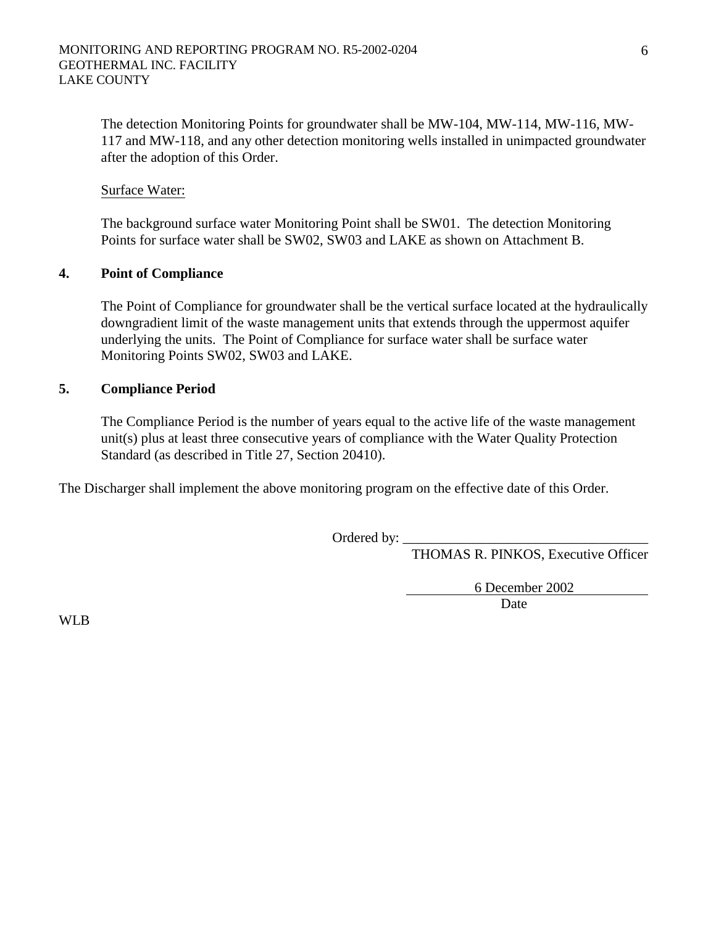The detection Monitoring Points for groundwater shall be MW-104, MW-114, MW-116, MW-117 and MW-118, and any other detection monitoring wells installed in unimpacted groundwater after the adoption of this Order.

### Surface Water:

The background surface water Monitoring Point shall be SW01. The detection Monitoring Points for surface water shall be SW02, SW03 and LAKE as shown on Attachment B.

#### **4. Point of Compliance**

The Point of Compliance for groundwater shall be the vertical surface located at the hydraulically downgradient limit of the waste management units that extends through the uppermost aquifer underlying the units. The Point of Compliance for surface water shall be surface water Monitoring Points SW02, SW03 and LAKE.

#### **5. Compliance Period**

The Compliance Period is the number of years equal to the active life of the waste management unit(s) plus at least three consecutive years of compliance with the Water Quality Protection Standard (as described in Title 27, Section 20410).

The Discharger shall implement the above monitoring program on the effective date of this Order.

Ordered by:

THOMAS R. PINKOS, Executive Officer

6 December 2002

**Date Date** 

WLB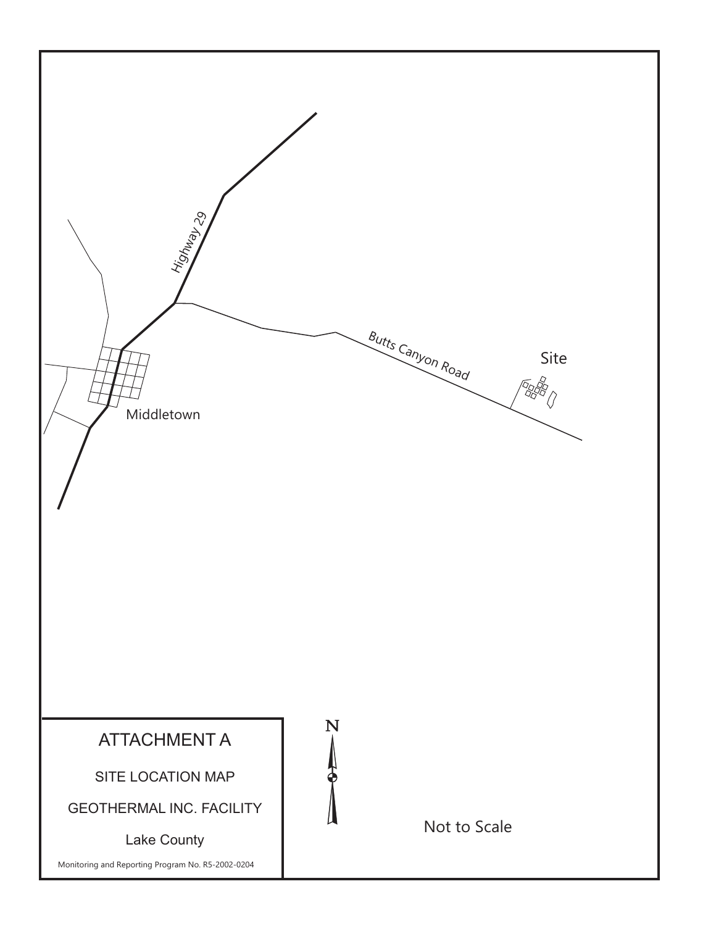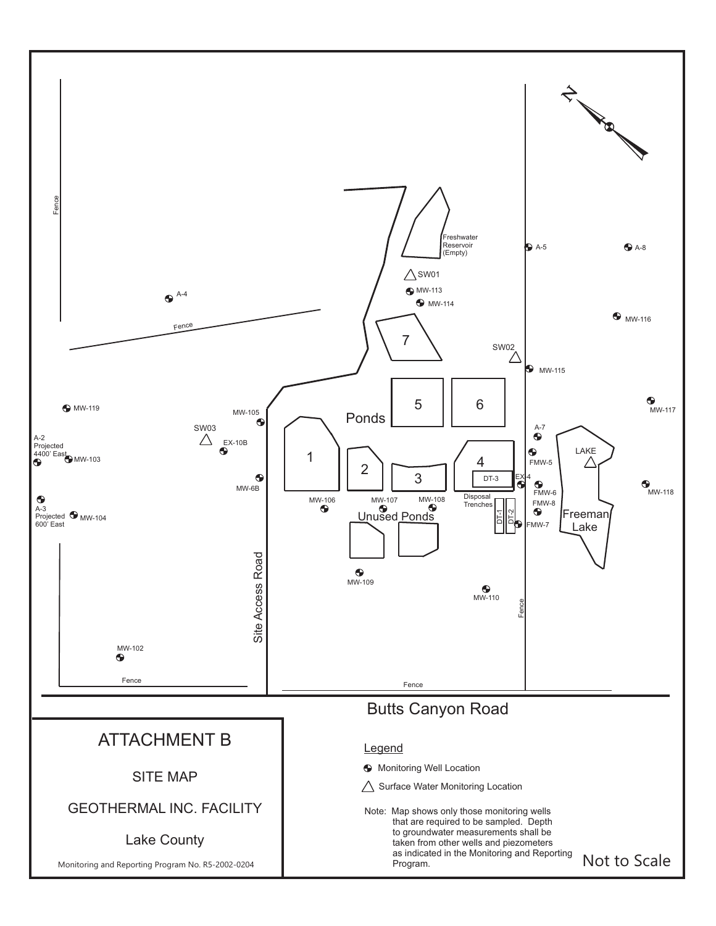![](_page_29_Figure_0.jpeg)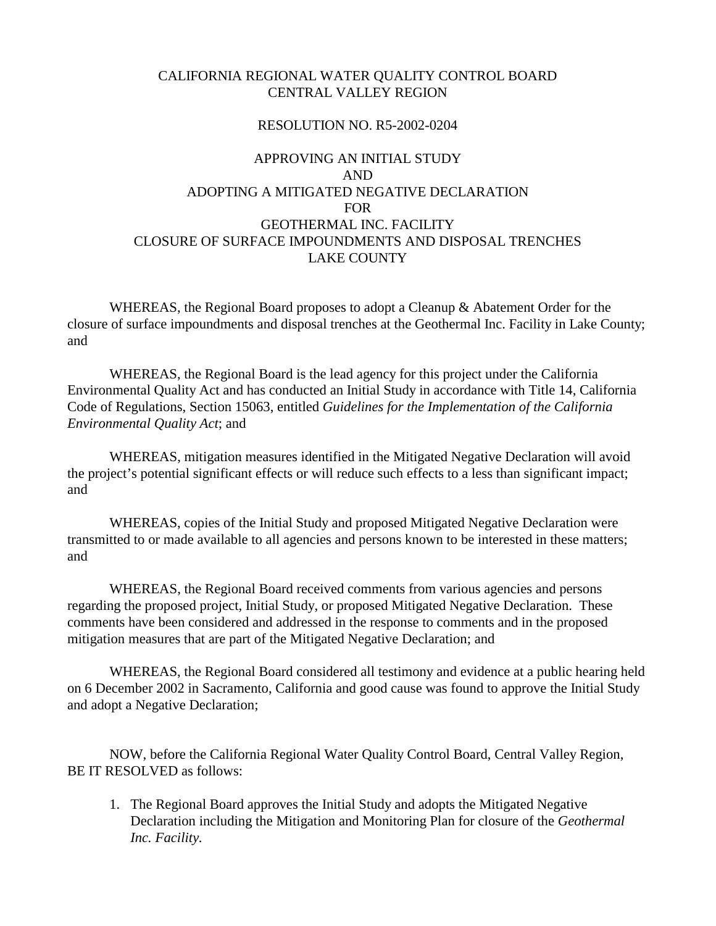### CALIFORNIA REGIONAL WATER QUALITY CONTROL BOARD CENTRAL VALLEY REGION

#### RESOLUTION NO. R5-2002-0204

# APPROVING AN INITIAL STUDY AND ADOPTING A MITIGATED NEGATIVE DECLARATION FOR GEOTHERMAL INC. FACILITY CLOSURE OF SURFACE IMPOUNDMENTS AND DISPOSAL TRENCHES LAKE COUNTY

WHEREAS, the Regional Board proposes to adopt a Cleanup & Abatement Order for the closure of surface impoundments and disposal trenches at the Geothermal Inc. Facility in Lake County; and

 WHEREAS, the Regional Board is the lead agency for this project under the California Environmental Quality Act and has conducted an Initial Study in accordance with Title 14, California Code of Regulations, Section 15063, entitled *Guidelines for the Implementation of the California Environmental Quality Act*; and

 WHEREAS, mitigation measures identified in the Mitigated Negative Declaration will avoid the project's potential significant effects or will reduce such effects to a less than significant impact; and

 WHEREAS, copies of the Initial Study and proposed Mitigated Negative Declaration were transmitted to or made available to all agencies and persons known to be interested in these matters; and

 WHEREAS, the Regional Board received comments from various agencies and persons regarding the proposed project, Initial Study, or proposed Mitigated Negative Declaration. These comments have been considered and addressed in the response to comments and in the proposed mitigation measures that are part of the Mitigated Negative Declaration; and

 WHEREAS, the Regional Board considered all testimony and evidence at a public hearing held on 6 December 2002 in Sacramento, California and good cause was found to approve the Initial Study and adopt a Negative Declaration;

 NOW, before the California Regional Water Quality Control Board, Central Valley Region, BE IT RESOLVED as follows:

1. The Regional Board approves the Initial Study and adopts the Mitigated Negative Declaration including the Mitigation and Monitoring Plan for closure of the *Geothermal Inc. Facility.*